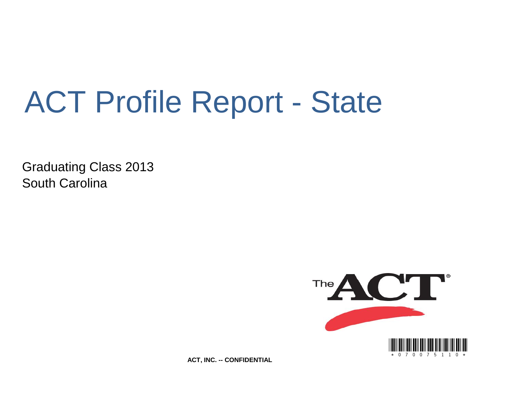# ACT Profile Report - State

Graduating Class 2013 South Carolina



**ACT, INC. -- CONFIDENTIAL**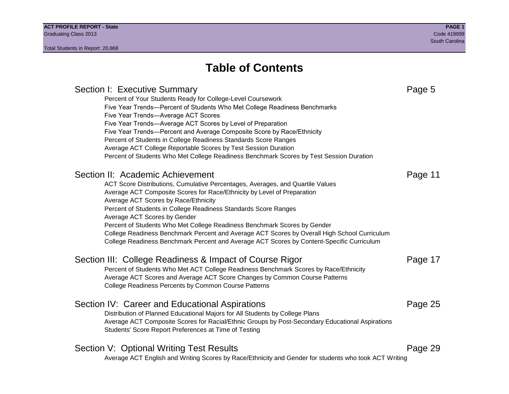### **Table of Contents**

### Section I: Executive Summary **Page 5** and the section I: Executive Summary Percent of Your Students Ready for College-Level Coursework Five Year Trends—Percent of Students Who Met College Readiness Benchmarks Five Year Trends—Average ACT Scores Five Year Trends—Average ACT Scores by Level of Preparation Five Year Trends—Percent and Average Composite Score by Race/Ethnicity Percent of Students in College Readiness Standards Score Ranges Average ACT College Reportable Scores by Test Session Duration Percent of Students Who Met College Readiness Benchmark Scores by Test Session Duration Section II: Academic Achievement **Page 11** Page 11 ACT Score Distributions, Cumulative Percentages, Averages, and Quartile Values Average ACT Composite Scores for Race/Ethnicity by Level of Preparation Average ACT Scores by Race/Ethnicity Percent of Students in College Readiness Standards Score Ranges Average ACT Scores by Gender Percent of Students Who Met College Readiness Benchmark Scores by Gender College Readiness Benchmark Percent and Average ACT Scores by Overall High School Curriculum College Readiness Benchmark Percent and Average ACT Scores by Content-Specific Curriculum Section III: College Readiness & Impact of Course Rigor Page 17 Percent of Students Who Met ACT College Readiness Benchmark Scores by Race/Ethnicity Average ACT Scores and Average ACT Score Changes by Common Course Patterns College Readiness Percents by Common Course Patterns Section IV: Career and Educational Aspirations **Page 25** Page 25 Distribution of Planned Educational Majors for All Students by College Plans Average ACT Composite Scores for Racial/Ethnic Groups by Post-Secondary Educational Aspirations Students' Score Report Preferences at Time of Testing Section V: Optional Writing Test Results **Page 29** Page 29 Average ACT English and Writing Scores by Race/Ethnicity and Gender for students who took ACT Writing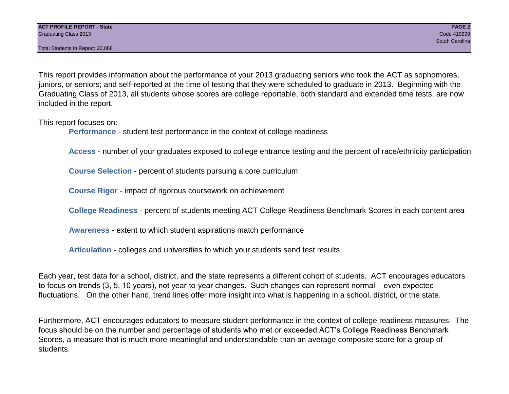Total Students in Report: 20,868

This report provides information about the performance of your 2013 graduating seniors who took the ACT as sophomores, juniors, or seniors; and self-reported at the time of testing that they were scheduled to graduate in 2013. Beginning with the Graduating Class of 2013, all students whose scores are college reportable, both standard and extended time tests, are now included in the report.

This report focuses on:

**Performance** - student test performance in the context of college readiness

**Access** - number of your graduates exposed to college entrance testing and the percent of race/ethnicity participation

**Course Selection** - percent of students pursuing a core curriculum

**Course Rigor** - impact of rigorous coursework on achievement

**College Readiness** - percent of students meeting ACT College Readiness Benchmark Scores in each content area

**Awareness** - extent to which student aspirations match performance

**Articulation** - colleges and universities to which your students send test results

Each year, test data for a school, district, and the state represents a different cohort of students. ACT encourages educators to focus on trends (3, 5, 10 years), not year-to-year changes. Such changes can represent normal – even expected – fluctuations. On the other hand, trend lines offer more insight into what is happening in a school, district, or the state.

Furthermore, ACT encourages educators to measure student performance in the context of college readiness measures. The focus should be on the number and percentage of students who met or exceeded ACT's College Readiness Benchmark Scores, a measure that is much more meaningful and understandable than an average composite score for a group of students.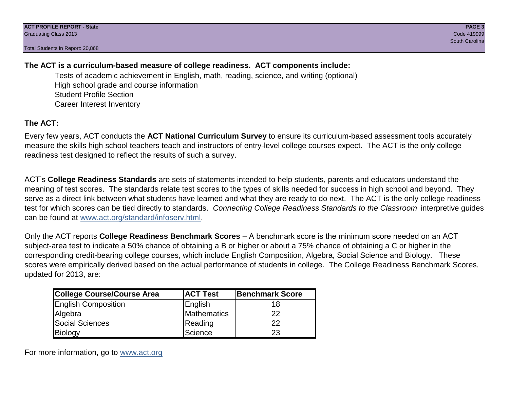Total Students in Report: 20,868

#### **The ACT is a curriculum-based measure of college readiness. ACT components include:**

Tests of academic achievement in English, math, reading, science, and writing (optional) High school grade and course information Student Profile Section Career Interest Inventory

#### **The ACT:**

Every few years, ACT conducts the **ACT National Curriculum Survey** to ensure its curriculum-based assessment tools accurately measure the skills high school teachers teach and instructors of entry-level college courses expect. The ACT is the only college readiness test designed to reflect the results of such a survey.

ACT's **College Readiness Standards** are sets of statements intended to help students, parents and educators understand the meaning of test scores. The standards relate test scores to the types of skills needed for success in high school and beyond. They serve as a direct link between what students have learned and what they are ready to do next. The ACT is the only college readiness test for which scores can be tied directly to standards. *Connecting College Readiness Standards to the Classroom* interpretive guides can be found at www.act.org/standard/infoserv.html.

Only the ACT reports **College Readiness Benchmark Scores** – A benchmark score is the minimum score needed on an ACT subject-area test to indicate a 50% chance of obtaining a B or higher or about a 75% chance of obtaining a C or higher in the corresponding credit-bearing college courses, which include English Composition, Algebra, Social Science and Biology. These scores were empirically derived based on the actual performance of students in college. The College Readiness Benchmark Scores, updated for 2013, are:

| College Course/Course Area | <b>ACT Test</b> | <b>Benchmark Score</b> |
|----------------------------|-----------------|------------------------|
| <b>English Composition</b> | English         | 18                     |
| Algebra                    | Mathematics     | 22                     |
| <b>Social Sciences</b>     | Reading         | 22                     |
| Biology                    | Science         | 23                     |

For more information, go to www.act.org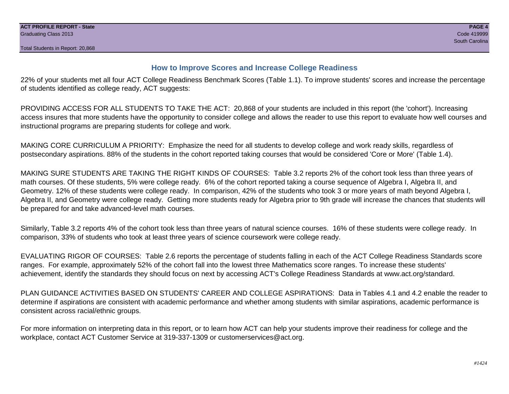#### **How to Improve Scores and Increase College Readiness**

22% of your students met all four ACT College Readiness Benchmark Scores (Table 1.1). To improve students' scores and increase the percentage of students identified as college ready, ACT suggests:

PROVIDING ACCESS FOR ALL STUDENTS TO TAKE THE ACT: 20,868 of your students are included in this report (the 'cohort'). Increasing access insures that more students have the opportunity to consider college and allows the reader to use this report to evaluate how well courses and instructional programs are preparing students for college and work.

MAKING CORE CURRICULUM A PRIORITY: Emphasize the need for all students to develop college and work ready skills, regardless of postsecondary aspirations. 88% of the students in the cohort reported taking courses that would be considered 'Core or More' (Table 1.4).

MAKING SURE STUDENTS ARE TAKING THE RIGHT KINDS OF COURSES: Table 3.2 reports 2% of the cohort took less than three years of math courses. Of these students, 5% were college ready. 6% of the cohort reported taking a course sequence of Algebra I, Algebra II, and Geometry. 12% of these students were college ready. In comparison, 42% of the students who took 3 or more years of math beyond Algebra I, Algebra II, and Geometry were college ready. Getting more students ready for Algebra prior to 9th grade will increase the chances that students will be prepared for and take advanced-level math courses.

Similarly, Table 3.2 reports 4% of the cohort took less than three years of natural science courses. 16% of these students were college ready. In comparison, 33% of students who took at least three years of science coursework were college ready.

EVALUATING RIGOR OF COURSES: Table 2.6 reports the percentage of students falling in each of the ACT College Readiness Standards score ranges. For example, approximately 52% of the cohort fall into the lowest three Mathematics score ranges. To increase these students' achievement, identify the standards they should focus on next by accessing ACT's College Readiness Standards at www.act.org/standard.

PLAN GUIDANCE ACTIVITIES BASED ON STUDENTS' CAREER AND COLLEGE ASPIRATIONS: Data in Tables 4.1 and 4.2 enable the reader to determine if aspirations are consistent with academic performance and whether among students with similar aspirations, academic performance is consistent across racial/ethnic groups.

For more information on interpreting data in this report, or to learn how ACT can help your students improve their readiness for college and the workplace, contact ACT Customer Service at 319-337-1309 or customerservices@act.org.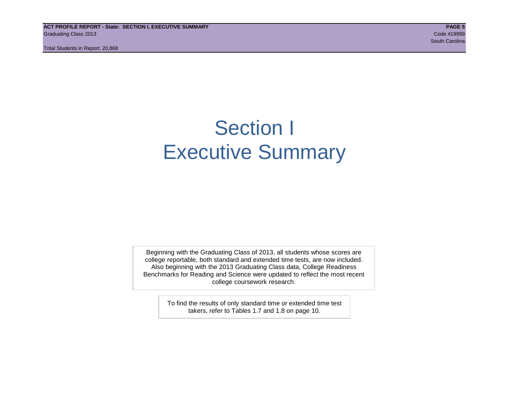**ACT PROFILE REPORT - State: SECTION I, EXECUTIVE SUMMARY PAGE 5** Graduating Class 2013 Code 419999

Total Students in Report: 20,868

# Section I Executive Summary

Beginning with the Graduating Class of 2013, all students whose scores are college reportable, both standard and extended time tests, are now included. Also beginning with the 2013 Graduating Class data, College Readiness Benchmarks for Reading and Science were updated to reflect the most recent college coursework research.

> To find the results of only standard time or extended time test takers, refer to Tables 1.7 and 1.8 on page 10.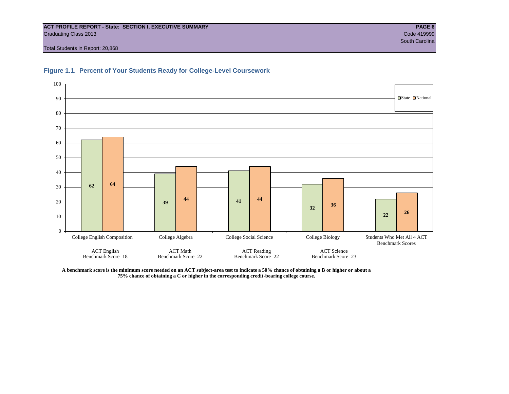#### **ACT PROFILE REPORT - State: SECTION I, EXECUTIVE SUMMARY PAGE 6** Graduating Class 2013 Code 419999

Total Students in Report: 20,868





**A benchmark score is the minimum score needed on an ACT subject-area test to indicate a 50% chance of obtaining a B or higher or about a 75% chance of obtaining a C or higher in the corresponding credit-bearing college course.**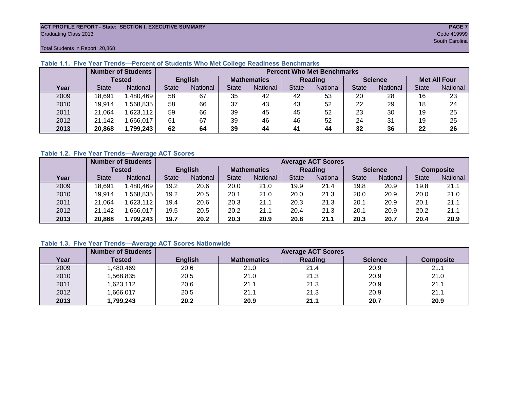#### **ACT PROFILE REPORT - State: SECTION I, EXECUTIVE SUMMARY PAGE 7** Graduating Class 2013 Code 419999

Total Students in Report: 20,868

|      | <b>Number of Students</b> |                 |                |          | <b>Percent Who Met Benchmarks</b> |                 |                |                 |                |          |                     |          |
|------|---------------------------|-----------------|----------------|----------|-----------------------------------|-----------------|----------------|-----------------|----------------|----------|---------------------|----------|
|      | <b>Tested</b>             |                 | <b>English</b> |          | <b>Mathematics</b>                |                 | <b>Reading</b> |                 | <b>Science</b> |          | <b>Met All Four</b> |          |
| Year | <b>State</b>              | <b>National</b> | <b>State</b>   | National | <b>State</b>                      | <b>National</b> | <b>State</b>   | <b>National</b> | <b>State</b>   | National | <b>State</b>        | National |
| 2009 | 18,691                    | ,480,469        | 58             | 67       | 35                                | 42              | 42             | 53              | 20             | 28       | 16                  | 23       |
| 2010 | 19,914                    | .568.835        | 58             | 66       | 37                                | 43              | 43             | 52              | 22             | 29       | 18                  | 24       |
| 2011 | 21,064                    | 1,623,112       | 59             | 66       | 39                                | 45              | 45             | 52              | 23             | 30       | 19                  | 25       |
| 2012 | 21,142                    | .666,017        | 61             | 67       | 39                                | 46              | 46             | 52              | 24             | 31       | 19                  | 25       |
| 2013 | 20,868                    | 1,799,243       | 62             | 64       | 39                                | 44              | 41             | 44              | 32             | 36       | 22                  | 26       |

#### **Table 1.1. Five Year Trends—Percent of Students Who Met College Readiness Benchmarks**

#### **Table 1.2. Five Year Trends—Average ACT Scores**

|      | <b>Number of Students</b> |                 |                | <b>Average ACT Scores</b> |                    |          |                |                 |                |          |                  |          |  |
|------|---------------------------|-----------------|----------------|---------------------------|--------------------|----------|----------------|-----------------|----------------|----------|------------------|----------|--|
|      | Tested                    |                 | <b>English</b> |                           | <b>Mathematics</b> |          | <b>Reading</b> |                 | <b>Science</b> |          | <b>Composite</b> |          |  |
| Year | <b>State</b>              | <b>National</b> | <b>State</b>   | National                  | State              | National | State          | <b>National</b> | <b>State</b>   | National | <b>State</b>     | National |  |
| 2009 | 18,691                    | .480,469        | 19.2           | 20.6                      | 20.0               | 21.0     | 19.9           | 21.4            | 19.8           | 20.9     | 19.8             | 21.1     |  |
| 2010 | 19.914                    | .568.835        | 19.2           | 20.5                      | 20.1               | 21.0     | 20.0           | 21.3            | 20.0           | 20.9     | 20.0             | 21.0     |  |
| 2011 | 21.064                    | .623,112        | 19.4           | 20.6                      | 20.3               | 21.1     | 20.3           | 21.3            | 20.1           | 20.9     | 20.1             | 21.1     |  |
| 2012 | 21,142                    | .666,017        | 19.5           | 20.5                      | 20.2               | 21.1     | 20.4           | 21.3            | 20.1           | 20.9     | 20.2             | 21.1     |  |
| 2013 | 20,868                    | 1,799,243       | 19.7           | 20.2                      | 20.3               | 20.9     | 20.8           | 21.1            | 20.3           | 20.7     | 20.4             | 20.9     |  |

#### **Table 1.3. Five Year Trends—Average ACT Scores Nationwide**

|      | <b>Number of Students</b> |                | <b>Average ACT Scores</b> |         |                |                  |  |  |  |  |  |  |
|------|---------------------------|----------------|---------------------------|---------|----------------|------------------|--|--|--|--|--|--|
| Year | Tested                    | <b>English</b> | <b>Mathematics</b>        | Reading | <b>Science</b> | <b>Composite</b> |  |  |  |  |  |  |
| 2009 | ,480,469                  | 20.6           | 21.0                      | 21.4    | 20.9           | 21.1             |  |  |  |  |  |  |
| 2010 | ,568,835                  | 20.5           | 21.0                      | 21.3    | 20.9           | 21.0             |  |  |  |  |  |  |
| 2011 | ,623,112                  | 20.6           | 21.1                      | 21.3    | 20.9           | 21.1             |  |  |  |  |  |  |
| 2012 | ,666,017                  | 20.5           | 21.1                      | 21.3    | 20.9           | 21.1             |  |  |  |  |  |  |
| 2013 | ,799,243                  | 20.2           | 20.9                      | 21.1    | 20.7           | 20.9             |  |  |  |  |  |  |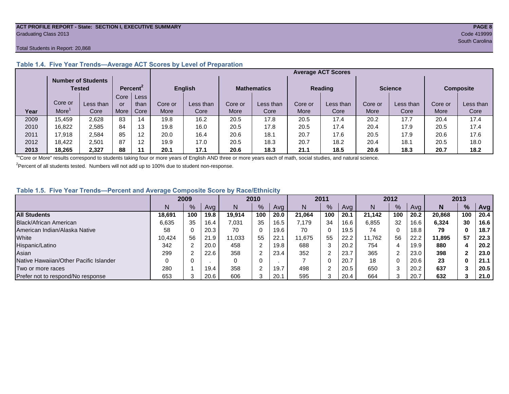#### **ACT PROFILE REPORT - State: SECTION I, EXECUTIVE SUMMARY PAGE 8** Graduating Class 2013 Code 419999

#### Total Students in Report: 20,868

|      |                                            |           |                      |                   |                                      |           |                |           | <b>Average ACT Scores</b> |           |                  |           |         |           |  |
|------|--------------------------------------------|-----------|----------------------|-------------------|--------------------------------------|-----------|----------------|-----------|---------------------------|-----------|------------------|-----------|---------|-----------|--|
|      | <b>Number of Students</b><br><b>Tested</b> |           | Percent <sup>2</sup> |                   | <b>English</b><br><b>Mathematics</b> |           | <b>Reading</b> |           | <b>Science</b>            |           | <b>Composite</b> |           |         |           |  |
|      |                                            |           | Core                 | Less              |                                      |           |                |           |                           |           |                  |           |         |           |  |
|      | Core or                                    | Less than | or                   | than              | Core or                              | Less than | Core or        | Less than | Core or                   | Less than | Core or          | Less than | Core or | Less than |  |
| Year | More                                       | Core      | More                 | Core <sup>®</sup> | More                                 | Core      | More           | Core      | More                      | Core      | More             | Core      | More    | Core      |  |
| 2009 | 15.459                                     | 2,628     | 83                   | 14                | 19.8                                 | 16.2      | 20.5           | 17.8      | 20.5                      | 17.4      | 20.2             | 17.7      | 20.4    | 17.4      |  |
| 2010 | 16.822                                     | 2.585     | 84                   | 13                | 19.8                                 | 16.0      | 20.5           | 17.8      | 20.5                      | 17.4      | 20.4             | 17.9      | 20.5    | 17.4      |  |
| 2011 | 17.918                                     | 2,584     | 85                   | 12                | 20.0                                 | 16.4      | 20.6           | 18.1      | 20.7                      | 17.6      | 20.5             | 17.9      | 20.6    | 17.6      |  |
| 2012 | 18,422                                     | 2.501     | 87                   | 12                | 19.9                                 | 17.0      | 20.5           | 18.3      | 20.7                      | 18.2      | 20.4             | 18.1      | 20.5    | 18.0      |  |
| 2013 | 18.265                                     | 2.327     | 88                   |                   | 20.1                                 | 17.1      | 20.6           | 18.3      | 21.1                      | 18.5      | 20.6             | 18.3      | 20.7    | 18.2      |  |

#### **Table 1.4. Five Year Trends—Average ACT Scores by Level of Preparation**

<sup>1</sup>"Core or More" results correspond to students taking four or more years of English AND three or more years each of math, social studies, and natural science.

 $2$ Percent of all students tested. Numbers will not add up to 100% due to student non-response.

#### **Table 1.5. Five Year Trends—Percent and Average Composite Score by Race/Ethnicity**

|                                        | 2009   |      |      | 2010   |               | 2011 |        | 2012 |      |        | 2013    |      |        |     |            |
|----------------------------------------|--------|------|------|--------|---------------|------|--------|------|------|--------|---------|------|--------|-----|------------|
|                                        | N      | $\%$ | Avg  | N      | $\frac{9}{6}$ | Avg  | N      | %    | Avg  | Ν      | %       | Ava  | N      | %   | <b>Avg</b> |
| <b>All Students</b>                    | 18.691 | 100  | 19.8 | 19.914 | 100           | 20.0 | 21.064 | 100  | 20.1 | 21.142 | 100     | 20.2 | 20.868 | 100 | 20.4       |
| Black/African American                 | 6,635  | 35   | 16.4 | 7,031  | 35            | 16.5 | 7.179  | 34   | 16.6 | 6,855  | 32      | 16.6 | 6,324  | 30  | 16.6       |
| American Indian/Alaska Native          | 58     |      | 20.3 | 70     | 0             | 19.6 | 70     | 0    | 19.5 | 74     | 0       | 18.8 | 79     | 0   | 18.7       |
| White                                  | 10.424 | 56   | 21.9 | 11.033 | 55            | 22.1 | 11.675 | 55   | 22.2 | 11.762 | 56      | 22.2 | 11.895 | 57  | 22.3       |
| Hispanic/Latino                        | 342    |      | 20.0 | 458    | ົ             | 19.8 | 688    | 3    | 20.2 | 754    | 4       | 19.9 | 880    |     | 20.2       |
| Asian                                  | 299    |      | 22.6 | 358    | ⌒             | 23.4 | 352    | ົ    | 23.7 | 365    | 2       | 23.0 | 398    |     | 23.0       |
| Native Hawaiian/Other Pacific Islander |        |      |      |        | 0             |      |        | 0    | 20.7 | 18     | 0       | 20.6 | 23     | 0   | 21.1       |
| Two or more races                      | 280    |      | 19.4 | 358    | $\sim$        | 19.7 | 498    | ◠    | 20.5 | 650    | ◠       | 20.2 | 637    |     | 20.5       |
| Prefer not to respond/No response      | 653    |      | 20.6 | 606    |               | 20.1 | 595    | 3    | 20.4 | 664    | ◠<br>-5 | 20.7 | 632    |     | 21.0       |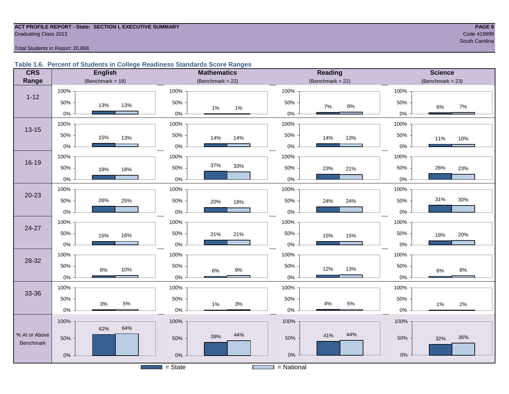#### **ACT PROFILE REPORT - State: SECTION I, EXECUTIVE SUMMARY PAGE 9 Graduating Class 2013** Code 419999

South Carolina and South Carolina and South Carolina and South Carolina and South Carolina and South Carolina

#### Total Students in Report: 20,868

#### **Table 1.6. Percent of Students in College Readiness Standards Score Ranges**

| <b>CRS</b>                 | <b>English</b>          | <b>Mathematics</b>    | <b>Reading</b>      | <b>Science</b>     |
|----------------------------|-------------------------|-----------------------|---------------------|--------------------|
| Range                      | (Benchmark = $18$ )     | (Benchmark = $22$ )   | (Benchmark = $22$ ) | $(Benchmark = 23)$ |
|                            | 100%                    | 100%                  | 100%                | 100%               |
| $1 - 12$                   | 50%<br>13%<br>13%       | 50%<br>$1\%$<br>$1\%$ | 50%<br>$8\%$<br>7%  | 50%<br>7%<br>6%    |
|                            | $0\%$                   | $0\%$                 | $0\%$               | $0\%$              |
| $13 - 15$                  | 100%                    | 100%                  | 100%                | 100%               |
|                            | 50%<br>15%<br>13%       | 50%<br>14%<br>14%     | 50%<br>14%<br>13%   | 50%<br>11%<br>10%  |
|                            | $0\%$                   | $0\%$                 | $0\%$               | $0\%$              |
|                            | 100%                    | 100%                  | 100%                | 100%               |
| 16-19                      | 50%<br>19%<br>18%       | 37%<br>33%<br>50%     | 50%<br>23%<br>21%   | 26%<br>50%<br>23%  |
|                            | $0\%$                   | $0\%$                 | $0\%$               | 0%                 |
|                            | 100%                    | 100%                  | 100%                | 100%               |
| $20 - 23$                  | 50%<br>26%<br>25%       | 50%<br>20%<br>19%     | 50%<br>24%<br>24%   | 31%<br>30%<br>50%  |
|                            | $0\%$                   | $0\%$                 | $0\%$               | $0\%$              |
|                            | 100%                    | 100%                  | 100%                | 100%               |
| 24-27                      | 50%<br>16%<br>15%       | 50%<br>21%<br>21%     | 50%<br>15%<br>15%   | 50%<br>20%<br>18%  |
|                            | $0\%$                   | $0\%$                 | $0\%$               | 0%                 |
|                            | 100%                    | 100%                  | 100%                | 100%               |
| 28-32                      | 50%<br>10%<br>8%        | 50%<br>$9%$<br>$6\%$  | 50%<br>13%<br>12%   | 50%<br>8%<br>$6\%$ |
|                            | $0\%$                   | $0\%$                 | $0\%$               | $0\%$              |
|                            | 100%                    | 100%                  | 100%                | 100%               |
| 33-36                      | 50%                     | 50%                   | 50%                 | 50%                |
|                            | $5\%$<br>$3\%$<br>$0\%$ | $3%$<br>1%<br>$0\%$   | 5%<br>$4\%$<br>0%   | 2%<br>1%<br>0%     |
|                            | 100%                    | 100%                  | 100%                | 100%               |
|                            | 64%<br>62%              |                       | 44%                 |                    |
| % At or Above<br>Benchmark | 50%                     | 44%<br>39%<br>50%     | 41%<br>50%          | 36%<br>50%<br>32%  |
|                            | $0\%$                   | $0\%$                 | $0\%$               | $0\%$              |
|                            |                         | $=$ State             | $=$ National        |                    |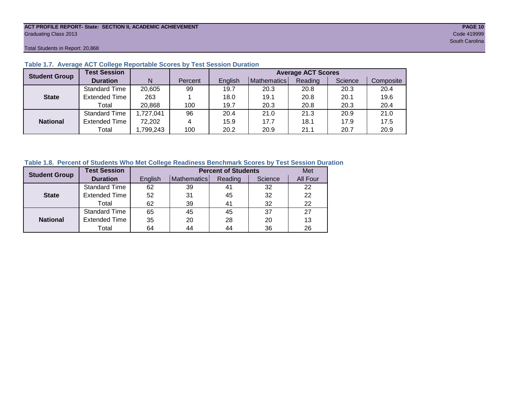#### **ACT PROFILE REPORT- State: SECTION II, ACADEMIC ACHIEVEMENT PAGE 10** Graduating Class 2013 Code 419999

Total Students in Report: 20,868

| <b>Student Group</b> | <b>Test Session</b>  |           |         | <b>Average ACT Scores</b> |             |         |         |           |  |  |
|----------------------|----------------------|-----------|---------|---------------------------|-------------|---------|---------|-----------|--|--|
|                      | <b>Duration</b>      | N         | Percent | English                   | Mathematics | Reading | Science | Composite |  |  |
|                      | <b>Standard Time</b> | 20,605    | 99      | 19.7                      | 20.3        | 20.8    | 20.3    | 20.4      |  |  |
| <b>State</b>         | <b>Extended Time</b> | 263       |         | 18.0                      | 19.1        | 20.8    | 20.1    | 19.6      |  |  |
|                      | Total                | 20,868    | 100     | 19.7                      | 20.3        | 20.8    | 20.3    | 20.4      |  |  |
|                      | <b>Standard Time</b> | 1,727,041 | 96      | 20.4                      | 21.0        | 21.3    | 20.9    | 21.0      |  |  |
| <b>National</b>      | <b>Extended Time</b> | 72,202    | 4       | 15.9                      | 17.7        | 18.1    | 17.9    | 17.5      |  |  |
|                      | Total                | ,799,243  | 100     | 20.2                      | 20.9        | 21.1    | 20.7    | 20.9      |  |  |

#### **Table 1.7. Average ACT College Reportable Scores by Test Session Duration**

#### **Table 1.8. Percent of Students Who Met College Readiness Benchmark Scores by Test Session Duration**

| <b>Student Group</b> | <b>Test Session</b>  |         |             | <b>Percent of Students</b> | Met     |          |
|----------------------|----------------------|---------|-------------|----------------------------|---------|----------|
|                      | <b>Duration</b>      | English | Mathematics | Reading                    | Science | All Four |
|                      | Standard Time        | 62      | 39          | 41                         | 32      | 22       |
| <b>State</b>         | <b>Extended Time</b> | 52      | 31          | 45                         | 32      | 22       |
|                      | Total                | 62      | 39          | 41                         | 32      | 22       |
|                      | <b>Standard Time</b> | 65      | 45          | 45                         | 37      | 27       |
| <b>National</b>      | <b>Extended Time</b> | 35      | 20          | 28                         | 20      | 13       |
|                      | Total                | 64      | 44          | 44                         | 36      | 26       |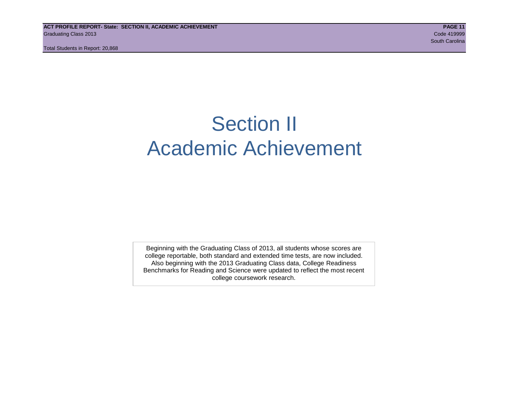# Section II Academic Achievement

Beginning with the Graduating Class of 2013, all students whose scores are college reportable, both standard and extended time tests, are now included. Also beginning with the 2013 Graduating Class data, College Readiness Benchmarks for Reading and Science were updated to reflect the most recent college coursework research.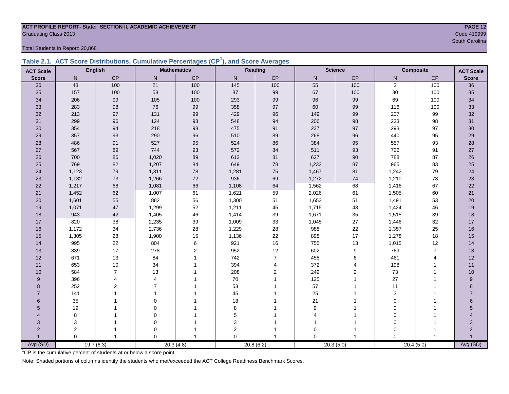### **ACT PROFILE REPORT- State: SECTION II, ACADEMIC ACHIEVEMENT PAGE 12** Code 419999<br>
Code 419999<br>
South Carolina

Total Students in Report: 20,868

|  | Table 2.1. ACT Score Distributions, Cumulative Percentages (CP <sup>1</sup> ), and Score Averages |  |  |  |
|--|---------------------------------------------------------------------------------------------------|--|--|--|
|  |                                                                                                   |  |  |  |

| <b>ACT Scale</b>         |          | <b>English</b> |                 | <b>Mathematics</b> | Reading   |                |                        | <b>Science</b> |              | <b>Composite</b> | <b>ACT Scale</b> |
|--------------------------|----------|----------------|-----------------|--------------------|-----------|----------------|------------------------|----------------|--------------|------------------|------------------|
| <b>Score</b>             | N        | CP             | ${\sf N}$       | CP                 | ${\sf N}$ | $\mathsf{CP}$  | ${\sf N}$              | CP             | $\mathsf{N}$ | CP               | <b>Score</b>     |
| 36                       | 43       | 100            | $\overline{21}$ | 100                | 145       | 100            | 55                     | 100            | 3            | 100              | 36               |
| 35                       | 157      | 100            | 58              | 100                | $87\,$    | $99\,$         | 67                     | 100            | $30\,$       | 100              | 35               |
| 34                       | 206      | 99             | 105             | 100                | 293       | 99             | 96                     | 99             | 69           | 100              | 34               |
| 33                       | 283      | 98             | 76              | 99                 | 358       | 97             | 60                     | 99             | 116          | 100              | 33               |
| 32                       | 213      | 97             | 131             | 99                 | 429       | 96             | 149                    | 99             | 207          | 99               | 32               |
| 31                       | 299      | 96             | 124             | 98                 | 548       | 94             | 206                    | 98             | 233          | 98               | 31               |
| 30                       | 354      | 94             | 218             | 98                 | 475       | 91             | 237                    | 97             | 293          | 97               | 30               |
| 29                       | 357      | 93             | 290             | 96                 | 510       | 89             | 268                    | 96             | 440          | 95               | 29               |
| 28                       | 486      | 91             | 527             | 95                 | 524       | 86             | 384                    | 95             | 557          | 93               | 28               |
| 27                       | 567      | 89             | 744             | 93                 | 572       | 84             | 511                    | 93             | 726          | 91               | 27               |
| 26                       | 700      | 86             | 1,020           | 89                 | 612       | 81             | 627                    | 90             | 788          | 87               | 26               |
| 25                       | 769      | 82             | 1,207           | 84                 | 649       | 78             | 1,233                  | 87             | 965          | 83               | 25               |
| 24                       | 1,123    | 79             | 1,311           | 78                 | 1,281     | 75             | 1,467                  | 81             | 1,242        | 79               | 24               |
| 23                       | 1,132    | 73             | 1,266           | 72                 | 936       | 69             | 1,272                  | $74\,$         | 1,210        | $73\,$           | 23               |
| 22                       | 1,217    | 68             | 1,081           | 66                 | 1,108     | 64             | 1,562                  | 68             | 1,416        | 67               | 22               |
| 21                       | 1,452    | 62             | 1,007           | 61                 | 1,621     | 59             | 2,026                  | 61             | 1,505        | 60               | 21               |
| 20                       | 1,601    | 55             | 882             | 56                 | 1,300     | 51             | 1,653                  | 51             | 1,491        | 53               | 20               |
| 19                       | 1,071    | $47\,$         | 1,299           | 52                 | 1,211     | 45             | 1,715                  | 43             | 1,424        | 46               | 19               |
| 18                       | 943      | 42             | 1,405           | 46                 | 1,414     | 39             | 1,671                  | 35             | 1,515        | 39               | 18               |
| 17                       | 820      | 38             | 2,235           | 39                 | 1,009     | 33             | 1,045                  | 27             | 1,446        | 32               | 17               |
| 16                       | 1,172    | 34             | 2,736           | 28                 | 1,229     | 28             | 988                    | 22             | 1,357        | 25               | 16               |
| 15                       | 1,305    | 28             | 1,900           | 15                 | 1,136     | 22             | 898                    | 17             | 1,278        | 18               | 15               |
| 14                       | 995      | 22             | 804             | $\,6$              | 921       | 16             | 755                    | 13             | 1,015        | 12               | 14               |
| 13                       | 839      | 17             | 278             | $\boldsymbol{2}$   | 952       | 12             | 602                    | 9              | 769          | $\overline{7}$   | 13               |
| 12                       | 671      | 13             | 84              | 1                  | 742       | $\overline{7}$ | 458                    | 6              | 461          | $\overline{4}$   | 12               |
| 11                       | 653      | 10             | 34              | 1                  | 394       | 4              | 372                    | 4              | 198          | 1                | 11               |
| 10                       | 584      | $\overline{7}$ | 13              | 1                  | 208       | 2              | 249                    | $\mathbf{2}$   | $73\,$       | 1                | 10               |
| 9                        | 396      | 4              | $\overline{4}$  | 1                  | $70\,$    |                | 125                    |                | 27           | 1                | $\boldsymbol{9}$ |
| 8                        | 252      | $\overline{2}$ | $\overline{7}$  | 1                  | 53        |                | 57                     |                | 11           | 1                | 8                |
| $\overline{7}$           | 141      | 1              | $\mathbf{1}$    | 1                  | 45        |                | 25                     |                | 3            |                  | $\overline{7}$   |
| 6                        | 35       |                | $\mathbf 0$     | 1                  | 18        |                | 21                     |                | $\mathbf 0$  | 1                | 6                |
| 5                        | 19       |                | $\pmb{0}$       |                    | 8         |                | 9                      |                | $\mathbf 0$  |                  | 5                |
| $\overline{\mathcal{A}}$ | 8        |                | $\mathbf 0$     | 1                  | 5         |                | $\boldsymbol{\Lambda}$ |                | $\Omega$     |                  |                  |
| 3                        | 3        |                | $\mathbf 0$     | 1                  | 3         |                |                        | 1              | $\Omega$     | 1                | 3                |
| $\overline{2}$           | 2        | 1              | $\pmb{0}$       | 1                  | 2         |                | $\mathbf 0$            |                | $\Omega$     | 1                | $\overline{2}$   |
|                          | $\Omega$ | 1              | $\Omega$        | $\mathbf{1}$       | $\Omega$  |                | $\Omega$               |                | $\Omega$     | $\mathbf{1}$     | $\overline{1}$   |
| Avg (SD)                 |          | 19.7(6.3)      |                 | 20.3(4.8)          |           | 20.8(6.2)      |                        | 20.3(5.0)      |              | 20.4(5.0)        | Avg (SD)         |

<sup>1</sup>CP is the cumulative percent of students at or below a score point.

Note: Shaded portions of columns identify the students who met/exceeded the ACT College Readiness Benchmark Scores.

South Carolina and the Carolina and the Carolina and the Carolina and the Carolina and South Carolina and South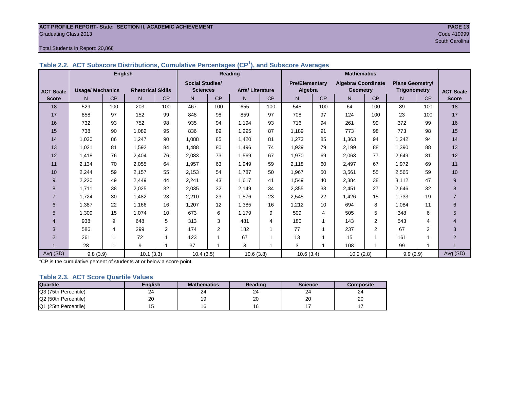### **ACT PROFILE REPORT- State: SECTION II, ACADEMIC ACHIEVEMENT PAGE 13** Graduating Class 2013 Code 419999

#### Total Students in Report: 20,868

|  | Table 2.2. ACT Subscore Distributions, Cumulative Percentages (CP <sup>1</sup> ), and Subscore Averages |  |
|--|---------------------------------------------------------------------------------------------------------|--|
|  |                                                                                                         |  |

|                  | <b>English</b>          |     |                          |                | <b>Reading</b>         |                |                        |     |                       |         |                     |                 |                        |                |                  |
|------------------|-------------------------|-----|--------------------------|----------------|------------------------|----------------|------------------------|-----|-----------------------|---------|---------------------|-----------------|------------------------|----------------|------------------|
|                  |                         |     |                          |                | <b>Social Studies/</b> |                |                        |     | <b>Pre/Elementary</b> |         | Algebra/ Coordinate |                 | <b>Plane Geometry/</b> |                |                  |
| <b>ACT Scale</b> | <b>Usage/ Mechanics</b> |     | <b>Rhetorical Skills</b> |                | <b>Sciences</b>        |                | <b>Arts/Literature</b> |     |                       | Algebra |                     | <b>Geometry</b> | <b>Trigonometry</b>    |                | <b>ACT Scale</b> |
| <b>Score</b>     | N.                      | CP  | N                        | CP             | N                      | CP             | $\mathsf{N}$           | CP  | N                     | CP      | $\mathsf{N}$        | CP              | N                      | CP             | <b>Score</b>     |
| 18               | 529                     | 100 | 203                      | 100            | 467                    | 100            | 655                    | 100 | 545                   | 100     | 64                  | 100             | 89                     | 100            | 18               |
| 17               | 858                     | 97  | 152                      | 99             | 848                    | 98             | 859                    | 97  | 708                   | 97      | 124                 | 100             | 23                     | 100            | 17               |
| 16               | 732                     | 93  | 752                      | 98             | 935                    | 94             | 1.194                  | 93  | 716                   | 94      | 261                 | 99              | 372                    | 99             | 16               |
| 15               | 738                     | 90  | 1,082                    | 95             | 836                    | 89             | 1,295                  | 87  | 1,189                 | 91      | 773                 | 98              | 773                    | 98             | 15               |
| 14               | 1,030                   | 86  | 1,247                    | 90             | 1.088                  | 85             | 1.420                  | 81  | 1,273                 | 85      | 1,363               | 94              | 1,242                  | 94             | 14               |
| 13               | 1,021                   | 81  | 1,592                    | 84             | 1,488                  | 80             | 1,496                  | 74  | 1,939                 | 79      | 2,199               | 88              | 1,390                  | 88             | 13               |
| 12               | 1,418                   | 76  | 2,404                    | 76             | 2,083                  | 73             | 1,569                  | 67  | 1,970                 | 69      | 2,063               | 77              | 2,649                  | 81             | 12               |
| 11               | 2,134                   | 70  | 2,055                    | 64             | 1,957                  | 63             | 1,949                  | 59  | 2,118                 | 60      | 2,497               | 67              | 1,972                  | 69             | 11               |
| 10               | 2,244                   | 59  | 2,157                    | 55             | 2,153                  | 54             | 1,787                  | 50  | 1,967                 | 50      | 3,561               | 55              | 2,565                  | 59             | 10               |
| 9                | 2,220                   | 49  | 2,449                    | 44             | 2,241                  | 43             | 1,617                  | 41  | 1,549                 | 40      | 2,384               | 38              | 3,112                  | 47             | 9                |
| 8                | 1,711                   | 38  | 2,025                    | 32             | 2,035                  | 32             | 2,149                  | 34  | 2,355                 | 33      | 2,451               | 27              | 2,646                  | 32             | 8                |
| $\overline{7}$   | 1,724                   | 30  | 1,482                    | 23             | 2,210                  | 23             | 1,576                  | 23  | 2,545                 | 22      | 1,426               | 15              | 1,733                  | 19             | $\overline{7}$   |
| 6                | 1,387                   | 22  | 1.166                    | 16             | 1,207                  | 12             | 1,385                  | 16  | 1,212                 | 10      | 694                 | 8               | 1,084                  | 11             | 6                |
| 5                | 1,309                   | 15  | 1,074                    | 10             | 673                    | 6              | 1.179                  | 9   | 509                   | 4       | 505                 | 5               | 348                    | 6              | 5                |
| $\overline{4}$   | 938                     | 9   | 648                      | 5              | 313                    | 3              | 481                    | 4   | 180                   |         | 143                 | $\overline{2}$  | 543                    | 4              | $\overline{4}$   |
| 3                | 586                     | 4   | 299                      | $\overline{2}$ | 174                    | $\overline{2}$ | 182                    |     | 77                    |         | 237                 | $\overline{2}$  | 67                     | $\overline{2}$ | 3                |
| 2                | 261                     |     | 72                       |                | 123                    |                | 67                     |     | 13                    |         | 15                  |                 | 161                    |                | $\overline{2}$   |
|                  | 28                      |     | 9                        |                | 37                     |                | 8                      |     | 3                     |         | 108                 |                 | 99                     |                |                  |
| Avg (SD)         | 9.8(3.9)                |     | 10.1(3.3)                |                | 10.4(3.5)              |                | 10.6(3.8)              |     | 10.6(3.4)             |         | 10.2(2.8)           |                 | 9.9(2.9)               |                | Avg (SD)         |

<sup>1</sup>CP is the cumulative percent of students at or below a score point.

#### **Table 2.3. ACT Score Quartile Values**

| <b>Quartile</b>      | <b>Enalish</b> | <b>Mathematics</b> | Reading | <b>Science</b> | Composite |
|----------------------|----------------|--------------------|---------|----------------|-----------|
| Q3 (75th Percentile) | 24             | 24                 | 24      | 24             | 24        |
| Q2 (50th Percentile) | 20             |                    | 20      | 20             | 20        |
| Q1 (25th Percentile) |                | 16                 |         |                |           |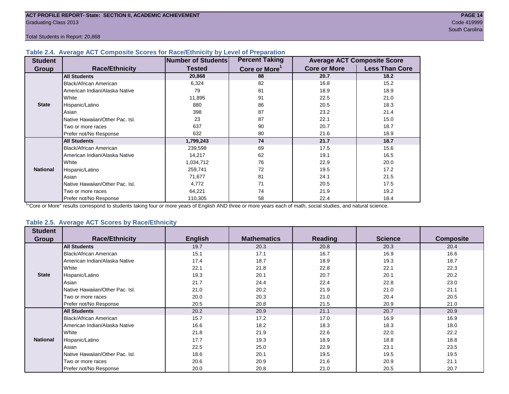Total Students in Report: 20,868

#### **Table 2.4. Average ACT Composite Scores for Race/Ethnicity by Level of Preparation**

| <b>Student</b>  |                                 | <b>Number of Students</b> | <b>Percent Taking</b>     |                     | <b>Average ACT Composite Score</b> |
|-----------------|---------------------------------|---------------------------|---------------------------|---------------------|------------------------------------|
| <b>Group</b>    | <b>Race/Ethnicity</b>           | <b>Tested</b>             | Core or More <sup>1</sup> | <b>Core or More</b> | <b>Less Than Core</b>              |
|                 | <b>All Students</b>             | 20,868                    | 88                        | 20.7                | 18.2                               |
|                 | Black/African American          | 6,324                     | 82                        | 16.8                | 15.2                               |
|                 | American Indian/Alaska Native   | 79                        | 81                        | 18.9                | 18.9                               |
|                 | White                           | 11,895                    | 91                        | 22.5                | 21.0                               |
| <b>State</b>    | Hispanic/Latino                 | 880                       | 86                        | 20.5                | 18.3                               |
|                 | Asian                           | 398                       | 87                        | 23.2                | 21.4                               |
|                 | Native Hawaiian/Other Pac. Isl. | 23                        | 87                        | 22.1                | 15.0                               |
|                 | Two or more races               | 637                       | 90                        | 20.7                | 18.7                               |
|                 | Prefer not/No Response          | 632                       | 80                        | 21.6                | 18.9                               |
|                 | <b>All Students</b>             | 1,799,243                 | 74                        | 21.7                | 18.7                               |
|                 | Black/African American          | 239,598                   | 69                        | 17.5                | 15.6                               |
|                 | American Indian/Alaska Native   | 14,217                    | 62                        | 19.1                | 16.5                               |
|                 | <b>I</b> White                  | 1,034,712                 | 76                        | 22.9                | 20.0                               |
| <b>National</b> | Hispanic/Latino                 | 259,741                   | 72                        | 19.5                | 17.2                               |
|                 | Asian                           | 71,677                    | 81                        | 24.1                | 21.5                               |
|                 | Native Hawaiian/Other Pac. Isl. | 4,772                     | 71                        | 20.5                | 17.5                               |
|                 | Two or more races               | 64,221                    | 74                        | 21.9                | 19.2                               |
|                 | Prefer not/No Response          | 110,305                   | 58                        | 22.4                | 18.4                               |

<sup>1</sup>"Core or More" results correspond to students taking four or more years of English AND three or more years each of math, social studies, and natural science.

#### **Table 2.5. Average ACT Scores by Race/Ethnicity**

| <b>Student</b>  |                                 |                |                    |                |                |                  |
|-----------------|---------------------------------|----------------|--------------------|----------------|----------------|------------------|
| <b>Group</b>    | <b>Race/Ethnicity</b>           | <b>English</b> | <b>Mathematics</b> | <b>Reading</b> | <b>Science</b> | <b>Composite</b> |
|                 | <b>All Students</b>             | 19.7           | 20.3               | 20.8           | 20.3           | 20.4             |
|                 | Black/African American          | 15.1           | 17.1               | 16.7           | 16.9           | 16.6             |
|                 | American Indian/Alaska Native   | 17.4           | 18.7               | 18.9           | 19.3           | 18.7             |
|                 | White                           | 22.1           | 21.8               | 22.8           | 22.1           | 22.3             |
| <b>State</b>    | Hispanic/Latino                 | 19.3           | 20.1               | 20.7           | 20.1           | 20.2             |
|                 | Asian                           | 21.7           | 24.4               | 22.4           | 22.8           | 23.0             |
|                 | Native Hawaiian/Other Pac. Isl. | 21.0           | 20.2               | 21.9           | 21.0           | 21.1             |
|                 | Two or more races               | 20.0           | 20.3               | 21.0           | 20.4           | 20.5             |
|                 | Prefer not/No Response          | 20.5           | 20.8               | 21.5           | 20.9           | 21.0             |
|                 | <b>All Students</b>             | 20.2           | 20.9               | 21.1           | 20.7           | 20.9             |
|                 | Black/African American          | 15.7           | 17.2               | 17.0           | 16.9           | 16.9             |
|                 | American Indian/Alaska Native   | 16.6           | 18.2               | 18.3           | 18.3           | 18.0             |
|                 | White                           | 21.8           | 21.9               | 22.6           | 22.0           | 22.2             |
| <b>National</b> | Hispanic/Latino                 | 17.7           | 19.3               | 18.9           | 18.8           | 18.8             |
|                 | Asian                           | 22.5           | 25.0               | 22.9           | 23.1           | 23.5             |
|                 | Native Hawaiian/Other Pac. Isl. | 18.6           | 20.1               | 19.5           | 19.5           | 19.5             |
|                 | Two or more races               | 20.6           | 20.9               | 21.6           | 20.9           | 21.1             |
|                 | Prefer not/No Response          | 20.0           | 20.8               | 21.0           | 20.5           | 20.7             |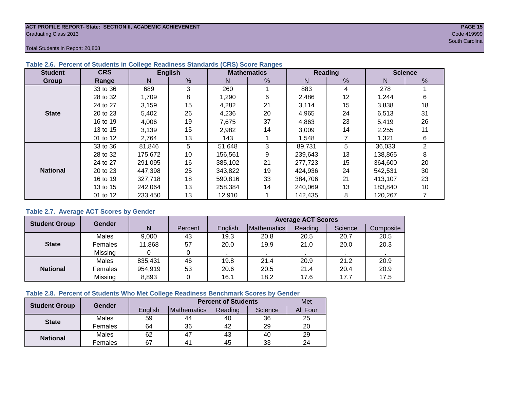#### **ACT PROFILE REPORT- State: SECTION II, ACADEMIC ACHIEVEMENT PAGE 15** Graduating Class 2013 Code 419999

South Carolina and South Carolina and South Carolina and South Carolina and South Carolina and South Carolina

Total Students in Report: 20,868

| <b>Student</b>  | <b>CRS</b> |         | <b>English</b> |         | <b>Mathematics</b> |         | Reading | <b>Science</b> |                |  |
|-----------------|------------|---------|----------------|---------|--------------------|---------|---------|----------------|----------------|--|
| Group           | Range      | N.      | %              | N       | $\%$               | N       | %       | N              | %              |  |
|                 | 33 to 36   | 689     | 3              | 260     |                    | 883     | 4       | 278            |                |  |
|                 | 28 to 32   | 1,709   | 8              | 1,290   | 6                  | 2,486   | 12      | 1,244          | 6              |  |
|                 | 24 to 27   | 3,159   | 15             | 4,282   | 21                 | 3,114   | 15      | 3,838          | 18             |  |
| <b>State</b>    | 20 to 23   | 5,402   | 26             | 4,236   | 20                 | 4,965   | 24      | 6,513          | 31             |  |
|                 | 16 to 19   | 4,006   | 19             | 7,675   | 37                 | 4,863   | 23      | 5,419          | 26             |  |
|                 | 13 to 15   | 3,139   | 15             | 2,982   | 14                 | 3,009   | 14      | 2,255          | 11             |  |
|                 | 01 to 12   | 2,764   | 13             | 143     |                    | 1,548   |         | 1,321          | 6              |  |
|                 | 33 to 36   | 81,846  | 5              | 51,648  | 3                  | 89,731  | 5       | 36,033         | $\overline{2}$ |  |
|                 | 28 to 32   | 175,672 | 10             | 156,561 | 9                  | 239,643 | 13      | 138,865        | 8              |  |
|                 | 24 to 27   | 291,095 | 16             | 385.102 | 21                 | 277,723 | 15      | 364,600        | 20             |  |
| <b>National</b> | 20 to 23   | 447.398 | 25             | 343.822 | 19                 | 424,936 | 24      | 542.531        | 30             |  |
|                 | 16 to 19   | 327,718 | 18             | 590,816 | 33                 | 384,706 | 21      | 413,107        | 23             |  |
|                 | 13 to 15   | 242,064 | 13             | 258.384 | 14                 | 240.069 | 13      | 183,840        | 10             |  |
|                 | 01 to 12   | 233,450 | 13             | 12,910  |                    | 142,435 | 8       | 120,267        |                |  |

#### **Table 2.6. Percent of Students in College Readiness Standards (CRS) Score Ranges**

#### **Table 2.7. Average ACT Scores by Gender**

| <b>Student Group</b> | <b>Gender</b> |         |         | <b>Average ACT Scores</b> |                    |         |         |           |  |  |  |  |
|----------------------|---------------|---------|---------|---------------------------|--------------------|---------|---------|-----------|--|--|--|--|
|                      |               | N       | Percent | English                   | <b>Mathematics</b> | Reading | Science | Composite |  |  |  |  |
|                      | Males         | 9,000   | 43      | 19.3                      | 20.8               | 20.5    | 20.7    | 20.5      |  |  |  |  |
| <b>State</b>         | Females       | 11,868  | 57      | 20.0                      | 19.9               | 21.0    | 20.0    | 20.3      |  |  |  |  |
|                      | Missing       |         | 0       |                           |                    |         |         |           |  |  |  |  |
|                      | Males         | 835,431 | 46      | 19.8                      | 21.4               | 20.9    | 21.2    | 20.9      |  |  |  |  |
| <b>National</b>      | Females       | 954,919 | 53      | 20.6                      | 20.5               | 21.4    | 20.4    | 20.9      |  |  |  |  |
|                      | Missing       | 8,893   | 0       | 16.1                      | 18.2               | 17.6    | 17.7    | 17.5      |  |  |  |  |

#### **Table 2.8. Percent of Students Who Met College Readiness Benchmark Scores by Gender**

| <b>Student Group</b> | <b>Gender</b> |         | <b>Percent of Students</b> | Met     |         |          |
|----------------------|---------------|---------|----------------------------|---------|---------|----------|
|                      |               | English | <b>Mathematics</b>         | Reading | Science | All Four |
| <b>State</b>         | Males         | 59      | 44                         | 40      | 36      | 25       |
|                      | Females       | 64      | 36                         | 42      | 29      | 20       |
| <b>National</b>      | Males         | 62      | 47                         | 43      | 40      | 29       |
|                      | Females       | 67      | 4 <sup>1</sup>             | 45      | 33      | 24       |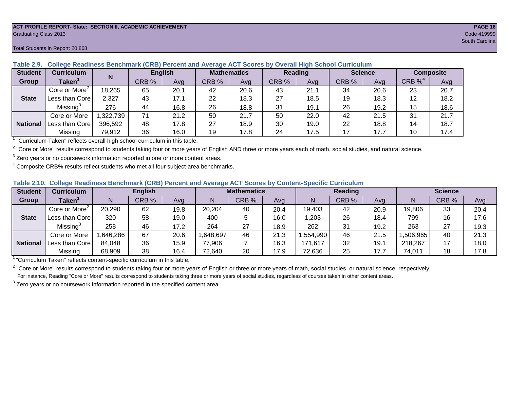#### **ACT PROFILE REPORT- State: SECTION II, ACADEMIC ACHIEVEMENT PAGE 16** Graduating Class 2013 Code 419999

| <b>Student</b>  | <b>Curriculum</b>                   | N         | <b>English</b> |      | <b>Mathematics</b> |      | Reading |      |       | <b>Science</b> | <b>Composite</b> |      |
|-----------------|-------------------------------------|-----------|----------------|------|--------------------|------|---------|------|-------|----------------|------------------|------|
| <b>Group</b>    | Taken $^{\rm \scriptscriptstyle I}$ |           | CRB %          | Avg  | CRB%               | Avg  | CRB %   | Avg  | CRB % | Ava            | CRB $\%^4$       | Avg  |
|                 | Core or More <sup>2</sup>           | 18,265    | 65             | 20.1 | 42                 | 20.6 | 43      | 21.1 | 34    | 20.6           | 23               | 20.7 |
| <b>State</b>    | Less than Core                      | 2,327     | 43             | 17.1 | 22                 | 18.3 | 27      | 18.5 | 19    | 18.3           | 12               | 18.2 |
|                 | Missing <sup>3</sup>                | 276       | 44             | 16.8 | 26                 | 18.8 | 31      | 19.1 | 26    | 19.2           | 15               | 18.6 |
|                 | Core or More                        | 1,322,739 | 71             | 21.2 | 50                 | 21.7 | 50      | 22.0 | 42    | 21.5           | 31               | 21.7 |
| <b>National</b> | Less than Core                      | 396,592   | 48             | 17.8 | 27                 | 18.9 | 30      | 19.0 | 22    | 18.8           | 14               | 18.7 |
|                 | Missing                             | 79,912    | 36             | 16.0 | 19                 | 17.8 | 24      | 17.5 | 17    | 17.7           | 10               | 17.4 |

**Table 2.9. College Readiness Benchmark (CRB) Percent and Average ACT Scores by Overall High School Curriculum**

1 "Curriculum Taken" reflects overall high school curriculum in this table.

 $^2$  "Core or More" results correspond to students taking four or more years of English AND three or more years each of math, social studies, and natural science.

 $3$  Zero years or no coursework information reported in one or more content areas.

 $4$  Composite CRB% results reflect students who met all four subject-area benchmarks.

| Table 2.10. College Readiness Benchmark (CRB) Percent and Average ACT Scores by Content-Specific Curriculum |
|-------------------------------------------------------------------------------------------------------------|
|-------------------------------------------------------------------------------------------------------------|

| <b>Student</b>  | Curriculum                    | <b>English</b> |       |      | <b>Mathematics</b> |       |      | <b>Reading</b> |       |      | <b>Science</b> |       |      |
|-----------------|-------------------------------|----------------|-------|------|--------------------|-------|------|----------------|-------|------|----------------|-------|------|
| Group           | $\mathsf{Taken}^{\mathsf{T}}$ |                | CRB % | Avg  | N                  | CRB % | Avg  | N              | CRB % | Avg  | N              | CRB % | Avg  |
|                 | Core or More <sup>2</sup>     | 20,290         | 62    | 19.8 | 20,204             | 40    | 20.4 | 19,403         | 42    | 20.9 | 19,806         | 33    | 20.4 |
| <b>State</b>    | Less than Corel               | 320            | 58    | 19.0 | 400                |       | 16.0 | ,203           | 26    | 18.4 | 799            | 16    | 17.6 |
|                 | Missing <sup>3</sup>          | 258            | 46    | 17.2 | 264                | 27    | 18.9 | 262            | 31    | 19.2 | 263            | 27    | 19.3 |
|                 | Core or More                  | .646,286       | 67    | 20.6 | 648,697            | 46    | 21.3 | ,554,990       | 46    | 21.5 | ,506,965       | 40    | 21.3 |
| <b>National</b> | Less than Core                | 84,048         | 36    | 15.9 | 77,906             |       | 16.3 | 171,617        | 32    | 19.1 | 218,267        |       | 18.0 |
|                 | Missing                       | 68,909         | 38    | 16.4 | 72,640             | 20    | 17.9 | 72,636         | 25    | 17.7 | 74,011         | 18    | 17.8 |

<sup>1</sup>"Curriculum Taken" reflects content-specific curriculum in this table.

<sup>2</sup> "Core or More" results correspond to students taking four or more years of English or three or more years of math, social studies, or natural science, respectively. For instance, Reading "Core or More" results correspond to students taking three or more years of social studies, regardless of courses taken in other content areas.

 $3$  Zero years or no coursework information reported in the specified content area.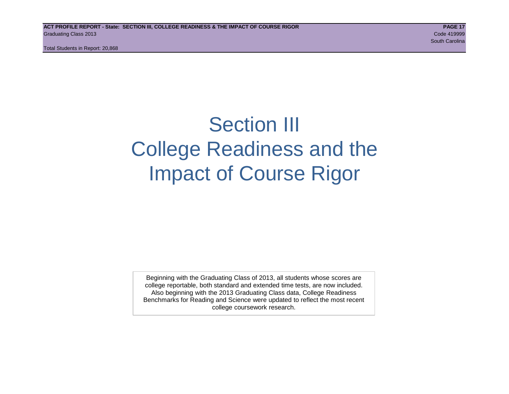Total Students in Report: 20,868

# Section III College Readiness and the Impact of Course Rigor

Beginning with the Graduating Class of 2013, all students whose scores are college reportable, both standard and extended time tests, are now included. Also beginning with the 2013 Graduating Class data, College Readiness Benchmarks for Reading and Science were updated to reflect the most recent college coursework research.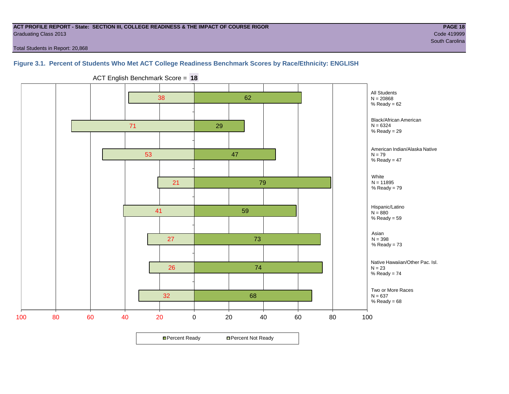#### **ACT PROFILE REPORT - State: SECTION III, COLLEGE READINESS & THE IMPACT OF COURSE RIGOR PAGE 18** Graduating Class 2013 Code 419999

Total Students in Report: 20,868

#### **Figure 3.1. Percent of Students Who Met ACT College Readiness Benchmark Scores by Race/Ethnicity: ENGLISH**



ACT English Benchmark Score = **18**

**□ Percent Ready DPercent Not Ready**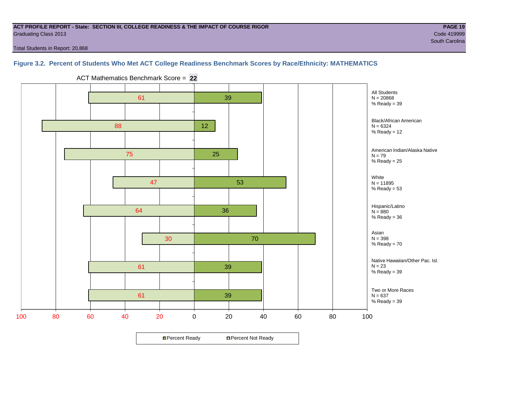#### **ACT PROFILE REPORT - State: SECTION III, COLLEGE READINESS & THE IMPACT OF COURSE RIGOR PAGE 19** Graduating Class 2013 Code 419999

Total Students in Report: 20,868

#### **Figure 3.2. Percent of Students Who Met ACT College Readiness Benchmark Scores by Race/Ethnicity: MATHEMATICS**



ACT Mathematics Benchmark Score = **22**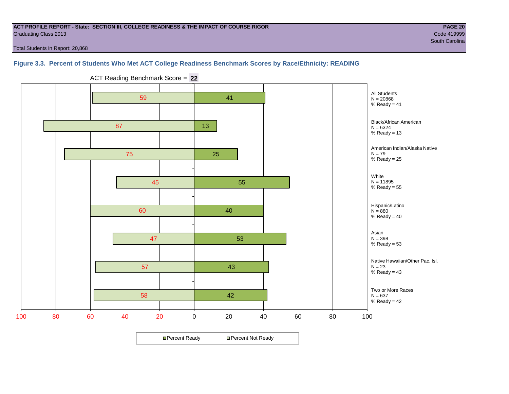#### **ACT PROFILE REPORT - State: SECTION III, COLLEGE READINESS & THE IMPACT OF COURSE RIGOR PAGE 20** Graduating Class 2013 Code 419999

Total Students in Report: 20,868

#### **Figure 3.3. Percent of Students Who Met ACT College Readiness Benchmark Scores by Race/Ethnicity: READING**



ACT Reading Benchmark Score = **22**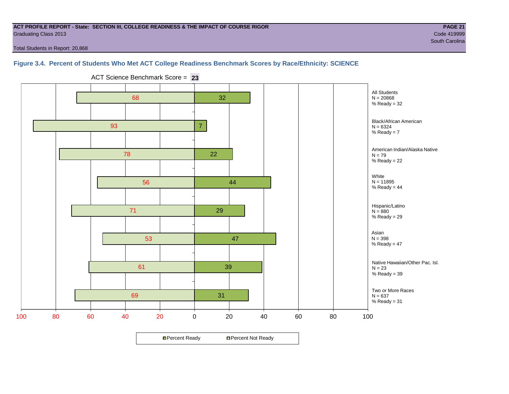#### **ACT PROFILE REPORT - State: SECTION III, COLLEGE READINESS & THE IMPACT OF COURSE RIGOR PAGE 21** Graduating Class 2013 Code 419999

South Carolina and South Carolina and South Carolina and South Carolina and South Carolina and South Carolina

Total Students in Report: 20,868

#### **Figure 3.4. Percent of Students Who Met ACT College Readiness Benchmark Scores by Race/Ethnicity: SCIENCE**

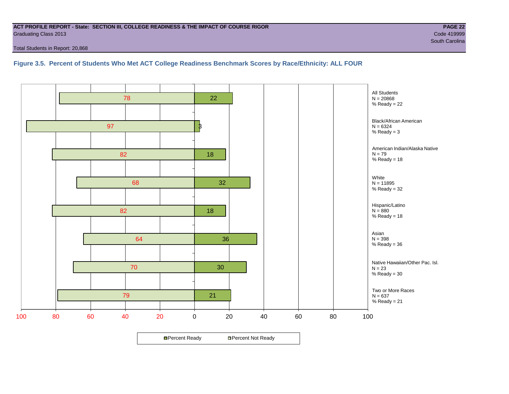#### **ACT PROFILE REPORT - State: SECTION III, COLLEGE READINESS & THE IMPACT OF COURSE RIGOR PAGE 22** Graduating Class 2013 Code 419999

Total Students in Report: 20,868

#### **Figure 3.5. Percent of Students Who Met ACT College Readiness Benchmark Scores by Race/Ethnicity: ALL FOUR**

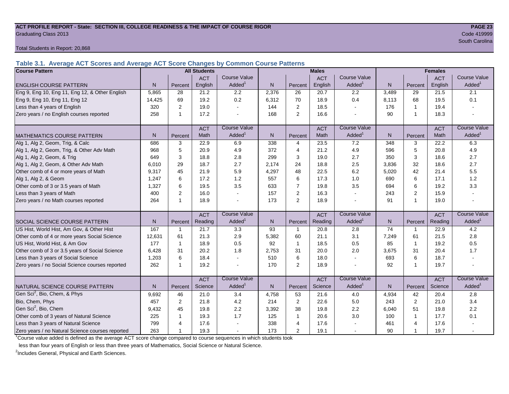#### **ACT PROFILE REPORT - State: SECTION III, COLLEGE READINESS & THE IMPACT OF COURSE RIGOR PAGE 23** Graduating Class 2013 Code 419999

Total Students in Report: 20,868

**Table 3.1. Average ACT Scores and Average ACT Score Changes by Common Course Patterns**

| <b>Course Pattern</b>                            |                |                | <b>All Students</b> |                     |              |                | <b>Males</b> |                     | <b>Females</b> |                |            |                        |
|--------------------------------------------------|----------------|----------------|---------------------|---------------------|--------------|----------------|--------------|---------------------|----------------|----------------|------------|------------------------|
|                                                  |                |                | <b>ACT</b>          | Course Value        |              |                | <b>ACT</b>   | <b>Course Value</b> |                |                | <b>ACT</b> | <b>Course Value</b>    |
| <b>ENGLISH COURSE PATTERN</b>                    | N              | Percent        | English             | Added               | $\mathsf{N}$ | Percent        | English      | Added               | $\mathsf{N}$   | Percent        | English    | A d d e d <sup>1</sup> |
| Eng 9, Eng 10, Eng 11, Eng 12, & Other English   | 5,865          | 28             | 21.2                | 2.2                 | 2,376        | 26             | 20.7         | 2.2                 | 3,489          | 29             | 21.5       | 2.1                    |
| Eng 9, Eng 10, Eng 11, Eng 12                    | 14,425         | 69             | 19.2                | 0.2                 | 6,312        | 70             | 18.9         | 0.4                 | 8,113          | 68             | 19.5       | 0.1                    |
| Less than 4 years of English                     | 320            | 2              | 19.0                |                     | 144          | 2              | 18.5         | $\sim$              | 176            | $\mathbf{1}$   | 19.4       |                        |
| Zero years / no English courses reported         | 258            | $\mathbf 1$    | 17.2                |                     | 168          | 2              | 16.6         |                     | 90             | $\overline{1}$ | 18.3       |                        |
|                                                  |                |                | <b>ACT</b>          | <b>Course Value</b> |              |                | <b>ACT</b>   | <b>Course Value</b> |                |                | <b>ACT</b> | <b>Course Value</b>    |
| <b>MATHEMATICS COURSE PATTERN</b>                | N <sub>1</sub> | Percent        | Math                | Added               | N.           | Percent        | Math         | Added <sup>1</sup>  | N              | Percent        | Math       | Added <sup>1</sup>     |
| Alg 1, Alg 2, Geom, Trig, & Calc                 | 686            | 3              | 22.9                | 6.9                 | 338          | $\overline{4}$ | 23.5         | 7.2                 | 348            | 3              | 22.2       | 6.3                    |
| Alg 1, Alg 2, Geom, Trig, & Other Adv Math       | 968            | 5              | 20.9                | 4.9                 | 372          | $\overline{4}$ | 21.2         | 4.9                 | 596            | 5              | 20.8       | 4.9                    |
| Alg 1, Alg 2, Geom, & Trig                       | 649            | 3              | 18.8                | 2.8                 | 299          | 3              | 19.0         | 2.7                 | 350            | 3              | 18.6       | 2.7                    |
| Alg 1, Alg 2, Geom, & Other Adv Math             | 6,010          | 29             | 18.7                | 2.7                 | 2,174        | 24             | 18.8         | 2.5                 | 3,836          | 32             | 18.6       | 2.7                    |
| Other comb of 4 or more years of Math            | 9,317          | 45             | 21.9                | 5.9                 | 4,297        | 48             | 22.5         | 6.2                 | 5,020          | 42             | 21.4       | 5.5                    |
| Alg 1, Alg 2, & Geom                             | 1,247          | 6              | 17.2                | 1.2                 | 557          | 6              | 17.3         | 1.0                 | 690            | 6              | 17.1       | $1.2$                  |
| Other comb of 3 or 3.5 years of Math             | 1.327          | 6              | 19.5                | 3.5                 | 633          | $\overline{7}$ | 19.8         | 3.5                 | 694            | 6              | 19.2       | 3.3                    |
| Less than 3 years of Math                        | 400            | $\overline{2}$ | 16.0                |                     | 157          | 2              | 16.3         | $\overline{a}$      | 243            | $\overline{2}$ | 15.9       |                        |
| Zero years / no Math courses reported            | 264            | -1             | 18.9                |                     | 173          | $\overline{2}$ | 18.9         |                     | 91             | 1              | 19.0       |                        |
|                                                  |                |                | <b>ACT</b>          | <b>Course Value</b> |              |                | <b>ACT</b>   | <b>Course Value</b> |                |                | <b>ACT</b> | <b>Course Value</b>    |
| <b>SOCIAL SCIENCE COURSE PATTERN</b>             | N              | Percent        | Reading             | Added <sup>1</sup>  | N            | Percent        | Reading      | Added               | N              | Percent        | Reading    | A d d e d <sup>1</sup> |
| US Hist, World Hist, Am Gov, & Other Hist        | 167            | 1              | 21.7                | 3.3                 | 93           | $\mathbf{1}$   | 20.8         | 2.8                 | 74             | $\overline{1}$ | 22.9       | 4.2                    |
| Other comb of 4 or more years Social Science     | 12,631         | 61             | 21.3                | 2.9                 | 5,382        | 60             | 21.1         | 3.1                 | 7,249          | 61             | 21.5       | 2.8                    |
| US Hist, World Hist, & Am Gov                    | 177            | $\mathbf{1}$   | 18.9                | 0.5                 | 92           | $\mathbf{1}$   | 18.5         | 0.5                 | 85             | $\overline{1}$ | 19.2       | 0.5                    |
| Other comb of 3 or 3.5 years of Social Science   | 6.428          | 31             | 20.2                | 1.8                 | 2,753        | 31             | 20.0         | 2.0                 | 3,675          | 31             | 20.4       | 1.7                    |
| Less than 3 years of Social Science              | 1,203          | 6              | 18.4                |                     | 510          | 6              | 18.0         | $\sim$              | 693            | 6              | 18.7       |                        |
| Zero years / no Social Science courses reported  | 262            | -1             | 19.2                |                     | 170          | 2              | 18.9         |                     | 92             | $\overline{1}$ | 19.7       | $\blacksquare$         |
|                                                  |                |                | <b>ACT</b>          | <b>Course Value</b> |              |                | <b>ACT</b>   | <b>Course Value</b> |                |                | <b>ACT</b> | <b>Course Value</b>    |
| NATURAL SCIENCE COURSE PATTERN                   | N <sub>1</sub> | Percent        | Science             | Added               | N.           | Percent        | Science      | Added               | N              | Percent        | Science    | A d d e d <sup>1</sup> |
| Gen Sci <sup>2</sup> , Bio, Chem, & Phys         | 9,692          | 46             | 21.0                | 3.4                 | 4,758        | 53             | 21.6         | 4.0                 | 4,934          | 42             | 20.4       | 2.8                    |
| Bio, Chem, Phys                                  | 457            | 2              | 21.8                | 4.2                 | 214          | 2              | 22.6         | 5.0                 | 243            | 2              | 21.0       | 3.4                    |
| Gen Sci <sup>2</sup> , Bio, Chem                 | 9,432          | 45             | 19.8                | 2.2                 | 3,392        | 38             | 19.8         | 2.2                 | 6,040          | 51             | 19.8       | 2.2                    |
| Other comb of 3 years of Natural Science         | 225            | 1              | 19.3                | 1.7                 | 125          | $\mathbf{1}$   | 20.6         | 3.0                 | 100            | $\mathbf{1}$   | 17.7       | 0.1                    |
| Less than 3 years of Natural Science             | 799            | 4              | 17.6                |                     | 338          | 4              | 17.6         |                     | 461            | 4              | 17.6       |                        |
| Zero years / no Natural Science courses reported | 263            |                | 19.3                |                     | 173          | 2              | 19.1         |                     | 90             | 1              | 19.7       |                        |

<sup>1</sup>Course value added is defined as the average ACT score change compared to course sequences in which students took

less than four years of English or less than three years of Mathematics, Social Science or Natural Science.

<sup>2</sup>Includes General, Physical and Earth Sciences.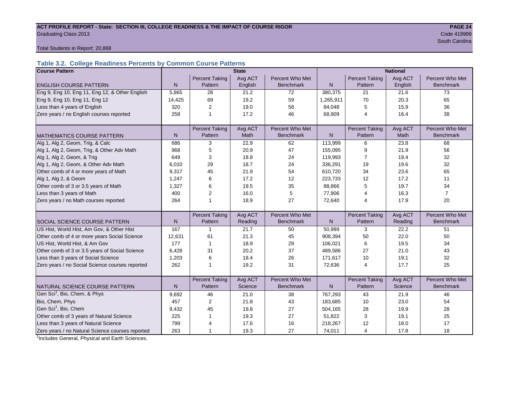#### ACT PROFILE REPORT - State: SECTION III, COLLEGE READINESS & THE IMPACT OF COURSE RIGOR **PAGE 24** Graduating Class 2013 Code 419999

South Carolina and the Carolina and the Carolina and the Carolina and the Carolina and South Carolina and South

Total Students in Report: 20,868

#### **Table 3.2. College Readiness Percents by Common Course Patterns**

| <b>Course Pattern</b>                            |              |                       | <b>State</b> |                  | <b>National</b> |                       |         |                  |  |  |
|--------------------------------------------------|--------------|-----------------------|--------------|------------------|-----------------|-----------------------|---------|------------------|--|--|
|                                                  |              | <b>Percent Taking</b> | Avg ACT      | Percent Who Met  |                 | <b>Percent Taking</b> | Avg ACT | Percent Who Met  |  |  |
| <b>ENGLISH COURSE PATTERN</b>                    | $\mathsf{N}$ | Pattern               | English      | <b>Benchmark</b> | $\mathsf{N}$    | Pattern               | English | <b>Benchmark</b> |  |  |
| Eng 9, Eng 10, Eng 11, Eng 12, & Other English   | 5,865        | 28                    | 21.2         | 72               | 380,375         | 21                    | 21.6    | 73               |  |  |
| Eng 9, Eng 10, Eng 11, Eng 12                    | 14,425       | 69                    | 19.2         | 59               | 1,265,911       | 70                    | 20.3    | 65               |  |  |
| Less than 4 years of English                     | 320          | 2                     | 19.0         | 58               | 84,048          | 5                     | 15.9    | 36               |  |  |
| Zero years / no English courses reported         | 258          | 1                     | 17.2         | 46               | 68,909          | 4                     | 16.4    | 38               |  |  |
|                                                  |              |                       |              |                  |                 |                       |         |                  |  |  |
|                                                  |              | <b>Percent Taking</b> | Avg ACT      | Percent Who Met  |                 | <b>Percent Taking</b> | Avg ACT | Percent Who Met  |  |  |
| <b>MATHEMATICS COURSE PATTERN</b>                | N            | Pattern               | Math         | <b>Benchmark</b> | N               | Pattern               | Math    | <b>Benchmark</b> |  |  |
| Alg 1, Alg 2, Geom, Trig, & Calc                 | 686          | 3                     | 22.9         | 62               | 113,999         | 6                     | 23.8    | 68               |  |  |
| Alg 1, Alg 2, Geom, Trig, & Other Adv Math       | 968          | 5                     | 20.9         | 47               | 155,095         | 9                     | 21.9    | 56               |  |  |
| Alg 1, Alg 2, Geom, & Trig                       | 649          | 3                     | 18.8         | 24               | 119,993         | $\overline{7}$        | 19.4    | 32               |  |  |
| Alg 1, Alg 2, Geom, & Other Adv Math             | 6,010        | 29                    | 18.7         | 24               | 336,291         | 19                    | 19.6    | 32               |  |  |
| Other comb of 4 or more years of Math            | 9,317        | 45                    | 21.9         | 54               | 610,720         | 34                    | 23.6    | 65               |  |  |
| Alg 1, Alg 2, & Geom                             | 1,247        | 6                     | 17.2         | 12               | 223,733         | 12                    | 17.2    | 11               |  |  |
| Other comb of 3 or 3.5 years of Math             | 1,327        | 6                     | 19.5         | 35               | 88,866          | 5                     | 19.7    | 34               |  |  |
| Less than 3 years of Math                        | 400          | 2                     | 16.0         | 5                | 77,906          | 4                     | 16.3    | $\overline{7}$   |  |  |
| Zero years / no Math courses reported            | 264          | 1                     | 18.9         | 27               | 72,640          | 4                     | 17.9    | 20               |  |  |
|                                                  |              |                       |              |                  |                 |                       |         |                  |  |  |
|                                                  |              | <b>Percent Taking</b> | Avg ACT      | Percent Who Met  |                 | <b>Percent Taking</b> | Avg ACT | Percent Who Met  |  |  |
| <b>SOCIAL SCIENCE COURSE PATTERN</b>             | N            | Pattern               | Reading      | <b>Benchmark</b> | N               | Pattern               | Reading | <b>Benchmark</b> |  |  |
| US Hist, World Hist, Am Gov, & Other Hist        | 167          | $\mathbf 1$           | 21.7         | 50               | 50,989          | 3                     | 22.2    | 51               |  |  |
| Other comb of 4 or more years Social Science     | 12,631       | 61                    | 21.3         | 45               | 908,394         | 50                    | 22.0    | 50               |  |  |
| US Hist, World Hist, & Am Gov                    | 177          | $\mathbf{1}$          | 18.9         | 29               | 106,021         | 6                     | 19.5    | 34               |  |  |
| Other comb of 3 or 3.5 years of Social Science   | 6,428        | 31                    | 20.2         | 37               | 489,586         | 27                    | 21.0    | 43               |  |  |
| Less than 3 years of Social Science              | 1,203        | 6                     | 18.4         | 26               | 171,617         | 10                    | 19.1    | 32               |  |  |
| Zero years / no Social Science courses reported  | 262          |                       | 19.2         | 31               | 72,636          | $\overline{4}$        | 17.7    | 25               |  |  |
|                                                  |              |                       |              |                  |                 |                       |         |                  |  |  |
|                                                  |              | <b>Percent Taking</b> | Avg ACT      | Percent Who Met  |                 | <b>Percent Taking</b> | Avg ACT | Percent Who Met  |  |  |
| NATURAL SCIENCE COURSE PATTERN                   | N            | Pattern               | Science      | <b>Benchmark</b> | N               | Pattern               | Science | <b>Benchmark</b> |  |  |
| Gen Sci <sup>1</sup> , Bio, Chem, & Phys         | 9,692        | 46                    | 21.0         | 38               | 767,293         | 43                    | 21.9    | 46               |  |  |
| Bio, Chem, Phys                                  | 457          | $\overline{c}$        | 21.8         | 43               | 183,685         | 10                    | 23.0    | 54               |  |  |
| Gen Sci <sup>1</sup> , Bio, Chem                 | 9,432        | 45                    | 19.8         | 27               | 504,165         | 28                    | 19.9    | 28               |  |  |
| Other comb of 3 years of Natural Science         | 225          |                       | 19.3         | 27               | 51,822          | 3                     | 19.1    | 25               |  |  |
| Less than 3 years of Natural Science             | 799          | 4                     | 17.6         | 16               | 218,267         | 12                    | 18.0    | 17               |  |  |
| Zero years / no Natural Science courses reported | 263          |                       | 19.3         | 27               | 74,011          | $\overline{4}$        | 17.8    | 18               |  |  |

<sup>1</sup>Includes General, Physical and Earth Sciences.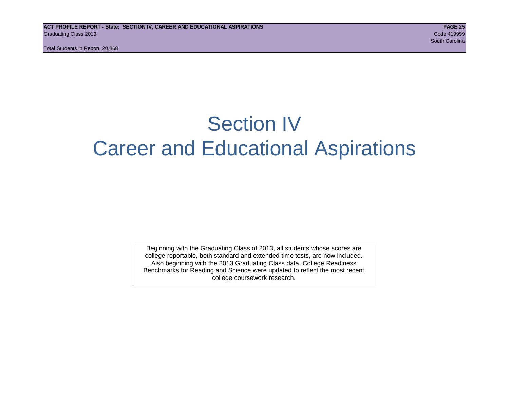Total Students in Report: 20,868

# Section IV Career and Educational Aspirations

Beginning with the Graduating Class of 2013, all students whose scores are college reportable, both standard and extended time tests, are now included. Also beginning with the 2013 Graduating Class data, College Readiness Benchmarks for Reading and Science were updated to reflect the most recent college coursework research.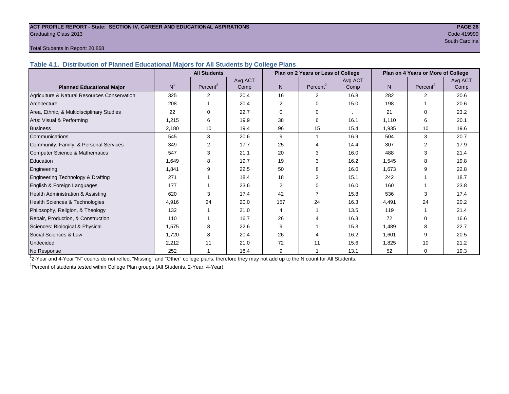#### **ACT PROFILE REPORT - State: SECTION IV, CAREER AND EDUCATIONAL ASPIRATIONS PAGE 26** Graduating Class 2013 Code 419999

South Carolina and South Carolina and South Carolina and South Carolina and South Carolina and South Carolina

#### Total Students in Report: 20,868

**Table 4.1. Distribution of Planned Educational Majors for All Students by College Plans**

|                                              |                | <b>All Students</b>  |         |          | Plan on 2 Years or Less of College |         | Plan on 4 Years or More of College |                      |         |  |
|----------------------------------------------|----------------|----------------------|---------|----------|------------------------------------|---------|------------------------------------|----------------------|---------|--|
|                                              |                |                      | Avg ACT |          |                                    | Avg ACT |                                    |                      | Avg ACT |  |
| <b>Planned Educational Major</b>             | N <sup>1</sup> | Percent <sup>2</sup> | Comp    | N        | Percent <sup>2</sup>               | Comp    | N                                  | Percent <sup>2</sup> | Comp    |  |
| Agriculture & Natural Resources Conservation | 325            | $\overline{2}$       | 20.4    | 16       | 2                                  | 16.8    | 282                                | $\mathfrak{p}$       | 20.6    |  |
| Architecture                                 | 208            |                      | 20.4    | 2        | $\Omega$                           | 15.0    | 198                                |                      | 20.6    |  |
| Area, Ethnic, & Multidisciplinary Studies    | 22             | $\Omega$             | 22.7    | $\Omega$ | $\Omega$                           |         | 21                                 | $\Omega$             | 23.2    |  |
| Arts: Visual & Performing                    | 1,215          | 6                    | 19.9    | 38       | 6                                  | 16.1    | 1,110                              | 6                    | 20.1    |  |
| <b>Business</b>                              | 2,180          | 10                   | 19.4    | 96       | 15                                 | 15.4    | 1,935                              | 10                   | 19.6    |  |
| Communications                               | 545            | 3                    | 20.6    | 9        |                                    | 16.9    | 504                                | 3                    | 20.7    |  |
| Community, Family, & Personal Services       | 349            | 2                    | 17.7    | 25       |                                    | 14.4    | 307                                | 2                    | 17.9    |  |
| <b>Computer Science &amp; Mathematics</b>    | 547            | 3                    | 21.1    | 20       | 3                                  | 16.0    | 488                                | 3                    | 21.4    |  |
| Education                                    | 1.649          | 8                    | 19.7    | 19       | 3                                  | 16.2    | 1,545                              | 8                    | 19.8    |  |
| Engineering                                  | 1,841          | 9                    | 22.5    | 50       | 8                                  | 16.0    | 1,673                              | 9                    | 22.8    |  |
| Engineering Technology & Drafting            | 271            |                      | 18.4    | 18       | 3                                  | 15.1    | 242                                |                      | 18.7    |  |
| English & Foreign Languages                  | 177            |                      | 23.6    | 2        | $\Omega$                           | 16.0    | 160                                |                      | 23.8    |  |
| Health Administration & Assisting            | 620            | 3                    | 17.4    | 42       |                                    | 15.8    | 536                                | 3                    | 17.4    |  |
| Health Sciences & Technologies               | 4,916          | 24                   | 20.0    | 157      | 24                                 | 16.3    | 4,491                              | 24                   | 20.2    |  |
| Philosophy, Religion, & Theology             | 132            |                      | 21.0    | 4        |                                    | 13.5    | 119                                |                      | 21.4    |  |
| Repair, Production, & Construction           | 110            |                      | 16.7    | 26       | $\boldsymbol{\Lambda}$             | 16.3    | 72                                 | $\Omega$             | 16.6    |  |
| Sciences: Biological & Physical              | 1,575          | 8                    | 22.6    | 9        |                                    | 15.3    | 1,489                              | 8                    | 22.7    |  |
| Social Sciences & Law                        | 1.720          | 8                    | 20.4    | 26       |                                    | 16.2    | 1,601                              | 9                    | 20.5    |  |
| <b>Undecided</b>                             | 2,212          | 11                   | 21.0    | 72       | 11                                 | 15.6    | 1,825                              | 10                   | 21.2    |  |
| No Response                                  | 252            |                      | 18.4    | 9        |                                    | 13.1    | 52                                 | 0                    | 19.3    |  |

1 2-Year and 4-Year "N" counts do not reflect "Missing" and "Other" college plans, therefore they may not add up to the N count for All Students.

<sup>2</sup>Percent of students tested within College Plan groups (All Students, 2-Year, 4-Year).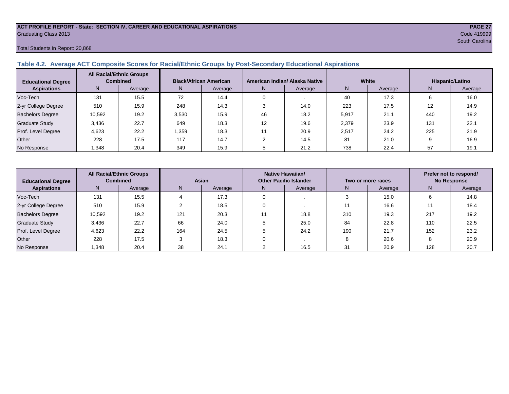#### **ACT PROFILE REPORT - State: SECTION IV, CAREER AND EDUCATIONAL ASPIRATIONS PAGE 27** Graduating Class 2013 Code 419999

Total Students in Report: 20,868

#### **Table 4.2. Average ACT Composite Scores for Racial/Ethnic Groups by Post-Secondary Educational Aspirations**

| <b>Educational Degree</b> |        | <b>All Racial/Ethnic Groups</b><br><b>Combined</b> | <b>Black/African American</b> |         | American Indian/ Alaska Native |         |       | White   | Hispanic/Latino |         |  |
|---------------------------|--------|----------------------------------------------------|-------------------------------|---------|--------------------------------|---------|-------|---------|-----------------|---------|--|
| <b>Aspirations</b>        | N      | Average                                            | N.                            | Average | N.                             | Average | N     | Average | N               | Average |  |
| Voc-Tech                  | 131    | 15.5                                               | 72                            | 14.4    |                                |         | 40    | 17.3    |                 | 16.0    |  |
| 2-yr College Degree       | 510    | 15.9                                               | 248                           | 14.3    |                                | 14.0    | 223   | 17.5    | 12              | 14.9    |  |
| <b>Bachelors Degree</b>   | 10,592 | 19.2                                               | 3,530                         | 15.9    | 46                             | 18.2    | 5,917 | 21.1    | 440             | 19.2    |  |
| Graduate Study            | 3,436  | 22.7                                               | 649                           | 18.3    | 12                             | 19.6    | 2,379 | 23.9    | 131             | 22.1    |  |
| Prof. Level Degree        | 4.623  | 22.2                                               | .359                          | 18.3    |                                | 20.9    | 2,517 | 24.2    | 225             | 21.9    |  |
| Other                     | 228    | 17.5                                               | 117                           | 14.7    |                                | 14.5    | 81    | 21.0    |                 | 16.9    |  |
| No Response               | .348   | 20.4                                               | 349                           | 15.9    |                                | 21.2    | 738   | 22.4    | 57              | 19.1    |  |

| <b>Educational Degree</b> |                | <b>All Racial/Ethnic Groups</b><br><b>Combined</b><br>Asian |     |         | Native Hawaiian/<br><b>Other Pacific Islander</b> |      |     | Two or more races | Prefer not to respond/<br><b>No Response</b> |         |  |
|---------------------------|----------------|-------------------------------------------------------------|-----|---------|---------------------------------------------------|------|-----|-------------------|----------------------------------------------|---------|--|
| <b>Aspirations</b>        | N <sub>1</sub> | Average                                                     | N.  | Average | Average<br>N.                                     |      | N   | Average           | N                                            | Average |  |
| Voc-Tech                  | 131            | 15.5                                                        |     | 17.3    |                                                   |      |     | 15.0              | h                                            | 14.8    |  |
| 2-yr College Degree       | 510            | 15.9                                                        |     | 18.5    |                                                   |      |     | 16.6              |                                              | 18.4    |  |
| <b>Bachelors Degree</b>   | 10,592         | 19.2                                                        | 121 | 20.3    |                                                   | 18.8 | 310 | 19.3              | 217                                          | 19.2    |  |
| <b>Graduate Study</b>     | 3,436          | 22.7                                                        | 66  | 24.0    |                                                   | 25.0 | 84  | 22.8              | 110                                          | 22.5    |  |
| Prof. Level Degree        | 4,623          | 22.2                                                        | 164 | 24.5    |                                                   | 24.2 | 190 | 21.7              | 152                                          | 23.2    |  |
| Other                     | 228            | 17.5                                                        |     | 18.3    |                                                   |      |     | 20.6              | o                                            | 20.9    |  |
| No Response               | ,348           | 20.4                                                        | 38  | 24.1    |                                                   | 16.5 | 31  | 20.9              | 128                                          | 20.7    |  |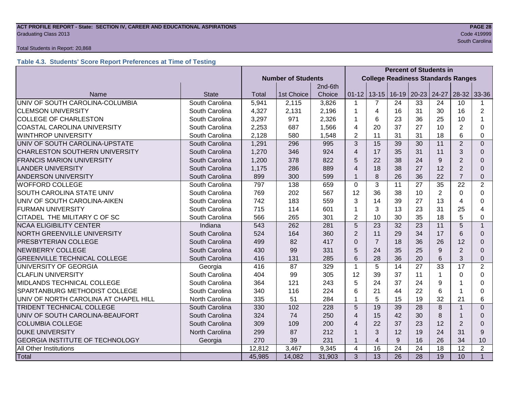### **ACT PROFILE REPORT - State: SECTION IV, CAREER AND EDUCATIONAL ASPIRATIONS PAGE 28** Graduating Class 2013 Code 419999

#### Total Students in Report: 20,868

#### **Table 4.3. Students' Score Report Preferences at Time of Testing**

|                                        |                |        |                           |         | <b>Percent of Students in</b>             |                 |                 |       |                |                 |                |
|----------------------------------------|----------------|--------|---------------------------|---------|-------------------------------------------|-----------------|-----------------|-------|----------------|-----------------|----------------|
|                                        |                |        | <b>Number of Students</b> |         | <b>College Readiness Standards Ranges</b> |                 |                 |       |                |                 |                |
|                                        |                |        |                           | 2nd-6th |                                           |                 |                 |       |                |                 |                |
| Name                                   | <b>State</b>   | Total  | 1st Choice                | Choice  | $01 - 12$                                 |                 | $13-15$   16-19 | 20-23 | 24-27          | 28-32           | 33-36          |
| UNIV OF SOUTH CAROLINA-COLUMBIA        | South Carolina | 5,941  | 2,115                     | 3,826   | 1                                         | 7               | 24              | 33    | 24             | 10              | 1              |
| <b>CLEMSON UNIVERSITY</b>              | South Carolina | 4,327  | 2,131                     | 2,196   | 1                                         | 4               | 16              | 31    | 30             | 16              | $\overline{2}$ |
| <b>COLLEGE OF CHARLESTON</b>           | South Carolina | 3,297  | 971                       | 2,326   | 1                                         | 6               | 23              | 36    | 25             | 10              |                |
| <b>COASTAL CAROLINA UNIVERSITY</b>     | South Carolina | 2,253  | 687                       | 1,566   | $\overline{4}$                            | 20              | 37              | 27    | 10             | $\overline{2}$  | $\Omega$       |
| <b>WINTHROP UNIVERSITY</b>             | South Carolina | 2,128  | 580                       | 1,548   | 2                                         | 11              | 31              | 31    | 18             | 6               | 0              |
| UNIV OF SOUTH CAROLINA-UPSTATE         | South Carolina | 1,291  | 296                       | 995     | 3                                         | 15              | 39              | 30    | 11             | $\overline{2}$  | $\overline{0}$ |
| <b>CHARLESTON SOUTHERN UNIVERSITY</b>  | South Carolina | 1,270  | 346                       | 924     | $\overline{4}$                            | 17              | 35              | 31    | 11             | 3               | $\Omega$       |
| <b>FRANCIS MARION UNIVERSITY</b>       | South Carolina | 1,200  | 378                       | 822     | 5                                         | 22              | 38              | 24    | 9              | $\overline{2}$  | $\Omega$       |
| <b>LANDER UNIVERSITY</b>               | South Carolina | 1,175  | 286                       | 889     | $\overline{4}$                            | 18              | 38              | 27    | 12             | $\overline{2}$  | $\Omega$       |
| <b>ANDERSON UNIVERSITY</b>             | South Carolina | 899    | 300                       | 599     | $\mathbf 1$                               | 8               | 26              | 36    | 22             | $\overline{7}$  | $\mathbf 0$    |
| <b>WOFFORD COLLEGE</b>                 | South Carolina | 797    | 138                       | 659     | $\mathbf 0$                               | 3               | 11              | 27    | 35             | 22              | $\overline{2}$ |
| SOUTH CAROLINA STATE UNIV              | South Carolina | 769    | 202                       | 567     | 12                                        | 36              | 38              | 10    | $\overline{2}$ | $\Omega$        | $\Omega$       |
| UNIV OF SOUTH CAROLINA-AIKEN           | South Carolina | 742    | 183                       | 559     | 3                                         | 14              | 39              | 27    | 13             | Δ               | $\Omega$       |
| <b>FURMAN UNIVERSITY</b>               | South Carolina | 715    | 114                       | 601     | 1                                         | 3               | 13              | 23    | 31             | 25              | 4              |
| CITADEL THE MILITARY C OF SC           | South Carolina | 566    | 265                       | 301     | $\overline{2}$                            | 10              | 30              | 35    | 18             | 5               | $\Omega$       |
| <b>NCAA ELIGIBILITY CENTER</b>         | Indiana        | 543    | 262                       | 281     | 5                                         | 23              | 32              | 23    | 11             | 5               | $\mathbf{1}$   |
| NORTH GREENVILLE UNIVERSITY            | South Carolina | 524    | 164                       | 360     | $\overline{2}$                            | 11              | 29              | 34    | 17             | 6               | $\Omega$       |
| PRESBYTERIAN COLLEGE                   | South Carolina | 499    | 82                        | 417     | $\Omega$                                  | $\overline{7}$  | 18              | 36    | 26             | 12              | $\Omega$       |
| <b>NEWBERRY COLLEGE</b>                | South Carolina | 430    | 99                        | 331     | 5                                         | 24              | 35              | 25    | 9              | 2               | $\Omega$       |
| <b>GREENVILLE TECHNICAL COLLEGE</b>    | South Carolina | 416    | 131                       | 285     | 6                                         | 28              | 36              | 20    | 6              | 3               | $\mathbf 0$    |
| UNIVERSITY OF GEORGIA                  | Georgia        | 416    | 87                        | 329     | $\mathbf{1}$                              | 5               | 14              | 27    | 33             | 17              | $\overline{2}$ |
| <b>CLAFLIN UNIVERSITY</b>              | South Carolina | 404    | 99                        | 305     | 12                                        | 39              | 37              | 11    | 1              | $\Omega$        | 0              |
| MIDLANDS TECHNICAL COLLEGE             | South Carolina | 364    | 121                       | 243     | 5                                         | 24              | 37              | 24    | 9              |                 | 0              |
| <b>SPARTANBURG METHODIST COLLEGE</b>   | South Carolina | 340    | 116                       | 224     | 6                                         | 21              | 44              | 22    | 6              |                 | 0              |
| UNIV OF NORTH CAROLINA AT CHAPEL HILL  | North Carolina | 335    | 51                        | 284     | 1                                         | 5               | 15              | 19    | 32             | 21              | 6              |
| <b>TRIDENT TECHNICAL COLLEGE</b>       | South Carolina | 330    | 102                       | 228     | 5                                         | 19              | 39              | 28    | 8              |                 | $\overline{0}$ |
| UNIV OF SOUTH CAROLINA-BEAUFORT        | South Carolina | 324    | 74                        | 250     | $\overline{4}$                            | 15              | 42              | 30    | 8              |                 | $\Omega$       |
| <b>COLUMBIA COLLEGE</b>                | South Carolina | 309    | 109                       | 200     | 4                                         | 22              | 37              | 23    | 12             | $\overline{2}$  | $\Omega$       |
| <b>DUKE UNIVERSITY</b>                 | North Carolina | 299    | 87                        | 212     | $\mathbf 1$                               | 3               | 12              | 19    | 24             | 31              | 9              |
| <b>GEORGIA INSTITUTE OF TECHNOLOGY</b> | Georgia        | 270    | 39                        | 231     | 1                                         | $\overline{4}$  | 9               | 16    | 26             | 34              | 10             |
| All Other Institutions                 |                | 12,812 | 3,467                     | 9,345   | $\overline{\mathbf{4}}$                   | 16              | 24              | 24    | 18             | $\overline{12}$ | $\overline{2}$ |
| Total                                  |                | 45,985 | 14,082                    | 31,903  | 3                                         | $\overline{13}$ | 26              | 28    | 19             | 10              | $\overline{1}$ |

South Carolina (1999) and the Carolina (1999) and the Carolina (1999) and the Carolina (1999) and the Carolina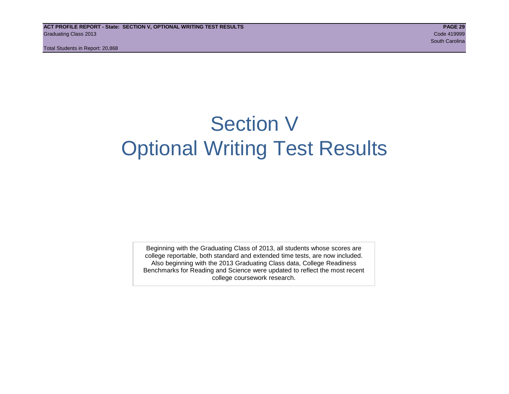Total Students in Report: 20,868

# Section V Optional Writing Test Results

Beginning with the Graduating Class of 2013, all students whose scores are college reportable, both standard and extended time tests, are now included. Also beginning with the 2013 Graduating Class data, College Readiness Benchmarks for Reading and Science were updated to reflect the most recent college coursework research.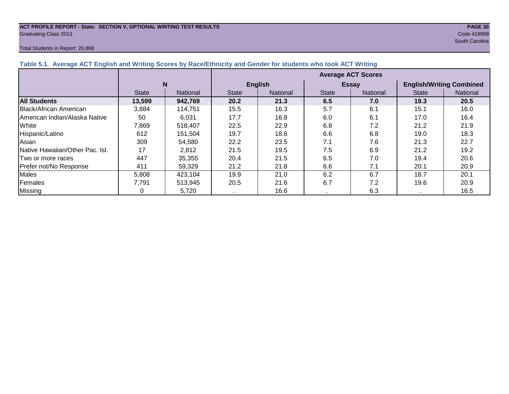#### **ACT PROFILE REPORT - State: SECTION V, OPTIONAL WRITING TEST RESULTS PAGE 30** Graduating Class 2013 Code 419999

#### Total Students in Report: 20,868

South Carolina (1999) and the Carolina (1999) and the Carolina (1999) and the Carolina (1999) and Carolina (19

| Table 5.1. Average ACT English and Writing Scores by Race/Ethnicity and Gender for students who took ACT Writing |              |                 |                           |                 |              |                 |                                 |                 |  |  |  |  |
|------------------------------------------------------------------------------------------------------------------|--------------|-----------------|---------------------------|-----------------|--------------|-----------------|---------------------------------|-----------------|--|--|--|--|
|                                                                                                                  |              |                 | <b>Average ACT Scores</b> |                 |              |                 |                                 |                 |  |  |  |  |
|                                                                                                                  |              | N               |                           | <b>English</b>  |              | <b>Essay</b>    | <b>English/Writing Combined</b> |                 |  |  |  |  |
|                                                                                                                  | <b>State</b> | <b>National</b> | <b>State</b>              | <b>National</b> | <b>State</b> | <b>National</b> | <b>State</b>                    | <b>National</b> |  |  |  |  |
| <b>All Students</b>                                                                                              | 13,599       | 942,769         | 20.2                      | 21.3            | 6.5          | 7.0             | 19.3                            | 20.5            |  |  |  |  |
| Black/African American                                                                                           | 3,884        | 114.751         | 15.5                      | 16.3            | 5.7          | 6.1             | 15.1                            | 16.0            |  |  |  |  |
| <b>IAmerican Indian/Alaska Native</b>                                                                            | 50           | 6,031           | 17.7                      | 16.8            | 6.0          | 6.1             | 17.0                            | 16.4            |  |  |  |  |
| White                                                                                                            | 7,869        | 518,407         | 22.5                      | 22.9            | 6.8          | 7.2             | 21.2                            | 21.9            |  |  |  |  |
| Hispanic/Latino                                                                                                  | 612          | 151.504         | 19.7                      | 18.6            | 6.6          | 6.8             | 19.0                            | 18.3            |  |  |  |  |
| Asian                                                                                                            | 309          | 54,580          | 22.2                      | 23.5            | 7.1          | 7.6             | 21.3                            | 22.7            |  |  |  |  |
| Native Hawaiian/Other Pac. Isl.                                                                                  | 17           | 2,812           | 21.5                      | 19.5            | 7.5          | 6.9             | 21.2                            | 19.2            |  |  |  |  |
| Two or more races                                                                                                | 447          | 35,355          | 20.4                      | 21.5            | 6.5          | 7.0             | 19.4                            | 20.6            |  |  |  |  |
| Prefer not/No Response                                                                                           | 411          | 59,329          | 21.2                      | 21.8            | 6.6          | 7.1             | 20.1                            | 20.9            |  |  |  |  |
| Males                                                                                                            | 5,808        | 423,104         | 19.9                      | 21.0            | 6.2          | 6.7             | 18.7                            | 20.1            |  |  |  |  |
| Females                                                                                                          | 7.791        | 513,945         | 20.5                      | 21.6            | 6.7          | 7.2             | 19.6                            | 20.9            |  |  |  |  |
| <b>Missing</b>                                                                                                   |              | 5,720           |                           | 16.6            |              | 6.3             |                                 | 16.5            |  |  |  |  |